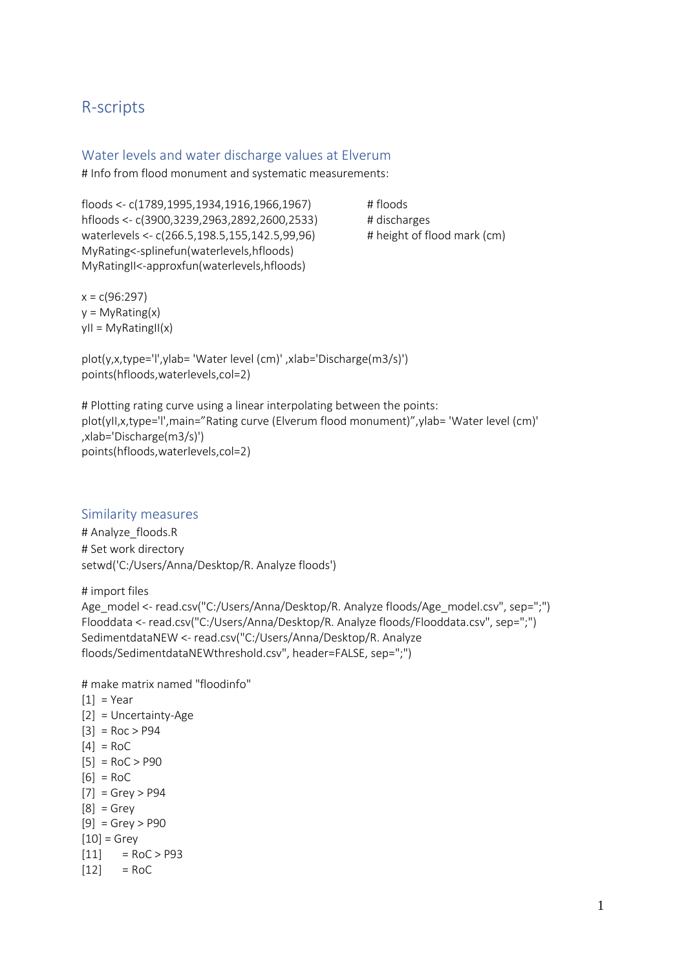# R-scripts

### Water levels and water discharge values at Elverum

# Info from flood monument and systematic measurements:

floods <- c(1789,1995,1934,1916,1966,1967) # floods hfloods <- c(3900,3239,2963,2892,2600,2533) # discharges waterlevels <- c(266.5,198.5,155,142.5,99,96) # height of flood mark (cm) MyRating<-splinefun(waterlevels,hfloods) MyRatingII<-approxfun(waterlevels,hfloods)

 $x = c(96:297)$  $y = MyRating(x)$  $yII = MyRatingII(x)$ 

plot(y,x,type='l',ylab= 'Water level (cm)' ,xlab='Discharge(m3/s)') points(hfloods,waterlevels,col=2)

# Plotting rating curve using a linear interpolating between the points: plot(yII,x,type='l',main="Rating curve (Elverum flood monument)",ylab= 'Water level (cm)' ,xlab='Discharge(m3/s)') points(hfloods,waterlevels,col=2)

### Similarity measures

# Analyze floods.R # Set work directory setwd('C:/Users/Anna/Desktop/R. Analyze floods')

# import files

Age\_model <- read.csv("C:/Users/Anna/Desktop/R. Analyze floods/Age\_model.csv", sep=";") Flooddata <- read.csv("C:/Users/Anna/Desktop/R. Analyze floods/Flooddata.csv", sep=";") SedimentdataNEW <- read.csv("C:/Users/Anna/Desktop/R. Analyze floods/SedimentdataNEWthreshold.csv", header=FALSE, sep=";")

# make matrix named "floodinfo"

 $[1] = \text{Year}$ [2] = Uncertainty-Age  $[3] = \text{Roc} > \text{P94}$  $[4] = \text{RoC}$  $[5] = \text{RoC} > \text{P90}$  $[6] = RoC$  $[7] = Grey > P94$  $[8] =$  Grey  $[9] = Grey > P90$  $[10]$  = Grey  $[11]$  = RoC > P93  $[12]$  = RoC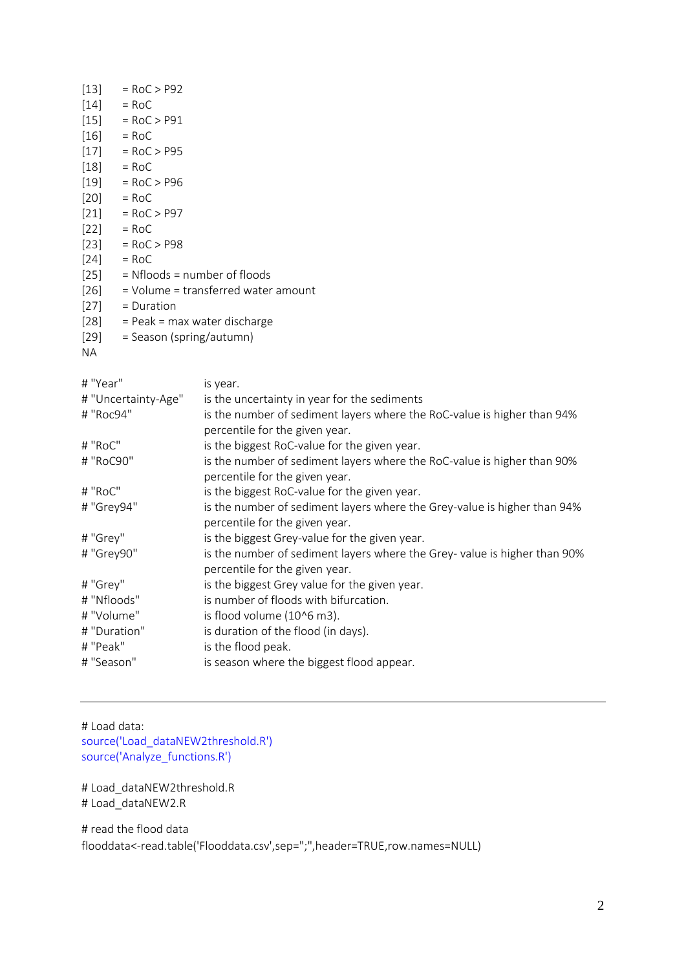| $=$ RoC $>$ P92                     |
|-------------------------------------|
| $=$ RoC                             |
| $[15]$ = RoC > P91                  |
| $\left[16\right]$<br>$=$ RoC        |
| $=$ RoC $>$ P95                     |
| $=$ RoC                             |
| $=$ RoC $>$ P96                     |
| $[20]$ = RoC                        |
| $[21]$ = RoC > P97                  |
| $[22]$ = RoC                        |
| $=$ RoC $>$ P98                     |
| $=$ RoC                             |
| $=$ Nfloods $=$ number of floods    |
| = Volume = transferred water amount |
| $=$ Duration                        |
| $=$ Peak = max water discharge      |
| = Season (spring/autumn)            |
|                                     |
|                                     |

| # "Year"            | is year.                                                                                                   |
|---------------------|------------------------------------------------------------------------------------------------------------|
| # "Uncertainty-Age" | is the uncertainty in year for the sediments                                                               |
| # "Roc94"           | is the number of sediment layers where the RoC-value is higher than 94%<br>percentile for the given year.  |
| # "RoC"             | is the biggest RoC-value for the given year.                                                               |
| # "RoC90"           | is the number of sediment layers where the RoC-value is higher than 90%<br>percentile for the given year.  |
| # "RoC"             | is the biggest RoC-value for the given year.                                                               |
| # "Grey94"          | is the number of sediment layers where the Grey-value is higher than 94%<br>percentile for the given year. |
| # "Grey"            | is the biggest Grey-value for the given year.                                                              |
| # "Grey90"          | is the number of sediment layers where the Grey-value is higher than 90%<br>percentile for the given year. |
| # "Grey"            | is the biggest Grey value for the given year.                                                              |
| # "Nfloods"         | is number of floods with bifurcation.                                                                      |
| # "Volume"          | is flood volume (10^6 m3).                                                                                 |
| # "Duration"        | is duration of the flood (in days).                                                                        |
| # "Peak"            | is the flood peak.                                                                                         |
| # "Season"          | is season where the biggest flood appear.                                                                  |

# Load data: source('Load\_dataNEW2threshold.R') source('Analyze\_functions.R')

# Load\_dataNEW2threshold.R # Load\_dataNEW2.R

# read the flood data flooddata<-read.table('Flooddata.csv',sep=";",header=TRUE,row.names=NULL)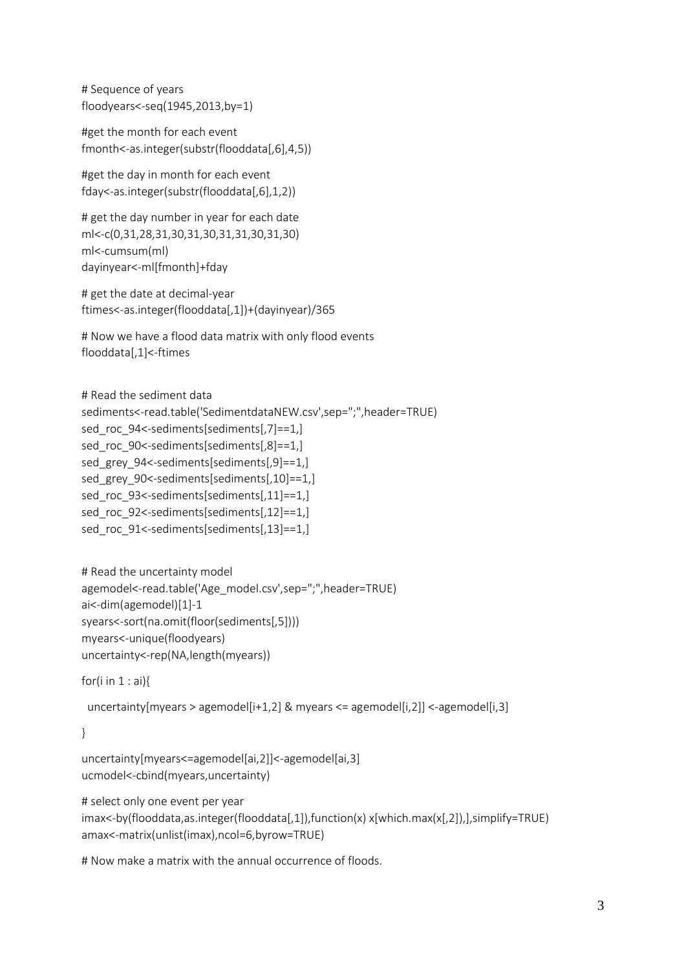# Sequence of years floodyears<-seq(1945,2013,by=1)

#get the month for each event fmonth<-as.integer(substr(flooddata[,6],4,5))

#get the day in month for each event fday<-as.integer(substr(flooddata[,6],1,2))

```
# get the day number in year for each date
ml<-c(0,31,28,31,30,31,30,31,31,30,31,30)
ml<-cumsum(ml)
dayinyear<-ml[fmonth]+fday
```
# get the date at decimal-year ftimes<-as.integer(flooddata[,1])+(dayinyear)/365

```
# Now we have a flood data matrix with only flood events
flooddata[,1]<-ftimes
```

```
# Read the sediment data
sediments<-read.table('SedimentdataNEW.csv',sep=";",header=TRUE)
sed_roc_94<-sediments[sediments[,7]==1,]
sed_roc_90<-sediments[sediments[,8]==1,]
sed_grey_94<-sediments[sediments[,9]==1,]
sed_grey_90<-sediments[sediments[,10]==1,]
sed_roc_93<-sediments[sediments[,11]==1,]
sed_roc_92<-sediments[sediments[,12]==1,]
sed_roc_91<-sediments[sediments[,13]==1,]
```

```
# Read the uncertainty model
agemodel<-read.table('Age_model.csv',sep=";",header=TRUE)
ai<-dim(agemodel)[1]-1
syears<-sort(na.omit(floor(sediments[,5])))
myears<-unique(floodyears)
uncertainty<-rep(NA,length(myears))
```

```
for(i in 1 : ai){
```

```
uncertainty[myears > agemodel[i+1,2] & myears <= agemodel[i,2]] <-agemodel[i,3]
```
}

```
uncertainty[myears<=agemodel[ai,2]]<-agemodel[ai,3]
ucmodel<-cbind(myears,uncertainty)
```
# select only one event per year

imax<-by(flooddata,as.integer(flooddata[,1]),function(x) x[which.max(x[,2]),],simplify=TRUE) amax<-matrix(unlist(imax),ncol=6,byrow=TRUE)

# Now make a matrix with the annual occurrence of floods.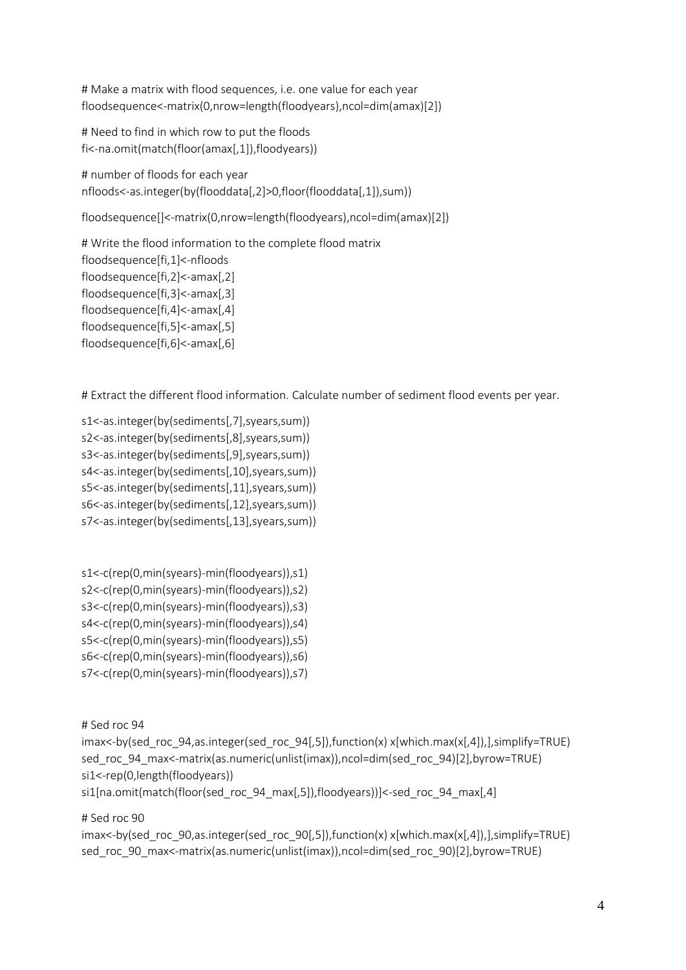# Make a matrix with flood sequences, i.e. one value for each year floodsequence<-matrix(0,nrow=length(floodyears),ncol=dim(amax)[2])

```
# Need to find in which row to put the floods
fi<-na.omit(match(floor(amax[,1]),floodyears))
```
# number of floods for each year nfloods<-as.integer(by(flooddata[,2]>0,floor(flooddata[,1]),sum))

floodsequence[]<-matrix(0,nrow=length(floodyears),ncol=dim(amax)[2])

# Write the flood information to the complete flood matrix floodsequence[fi,1]<-nfloods floodsequence[fi,2]<-amax[,2] floodsequence[fi,3]<-amax[,3] floodsequence[fi,4]<-amax[,4] floodsequence[fi,5]<-amax[,5] floodsequence[fi,6]<-amax[,6]

# Extract the different flood information. Calculate number of sediment flood events per year.

s1<-as.integer(by(sediments[,7],syears,sum)) s2<-as.integer(by(sediments[,8],syears,sum)) s3<-as.integer(by(sediments[,9],syears,sum)) s4<-as.integer(by(sediments[,10],syears,sum)) s5<-as.integer(by(sediments[,11],syears,sum)) s6<-as.integer(by(sediments[,12],syears,sum)) s7<-as.integer(by(sediments[,13],syears,sum))

s1<-c(rep(0,min(syears)-min(floodyears)),s1) s2<-c(rep(0,min(syears)-min(floodyears)),s2) s3<-c(rep(0,min(syears)-min(floodyears)),s3)

s4<-c(rep(0,min(syears)-min(floodyears)),s4)

s5<-c(rep(0,min(syears)-min(floodyears)),s5)

s6<-c(rep(0,min(syears)-min(floodyears)),s6)

s7<-c(rep(0,min(syears)-min(floodyears)),s7)

# Sed roc 94

imax<-by(sed\_roc\_94,as.integer(sed\_roc\_94[,5]),function(x) x[which.max(x[,4]),],simplify=TRUE) sed roc 94 max<-matrix(as.numeric(unlist(imax)),ncol=dim(sed roc 94)[2],byrow=TRUE) si1<-rep(0,length(floodyears))

si1[na.omit(match(floor(sed\_roc\_94\_max[,5]),floodyears))]<-sed\_roc\_94\_max[,4]

# Sed roc 90

imax<-by(sed\_roc\_90,as.integer(sed\_roc\_90[,5]),function(x) x[which.max(x[,4]),],simplify=TRUE) sed\_roc\_90\_max<-matrix(as.numeric(unlist(imax)),ncol=dim(sed\_roc\_90)[2],byrow=TRUE)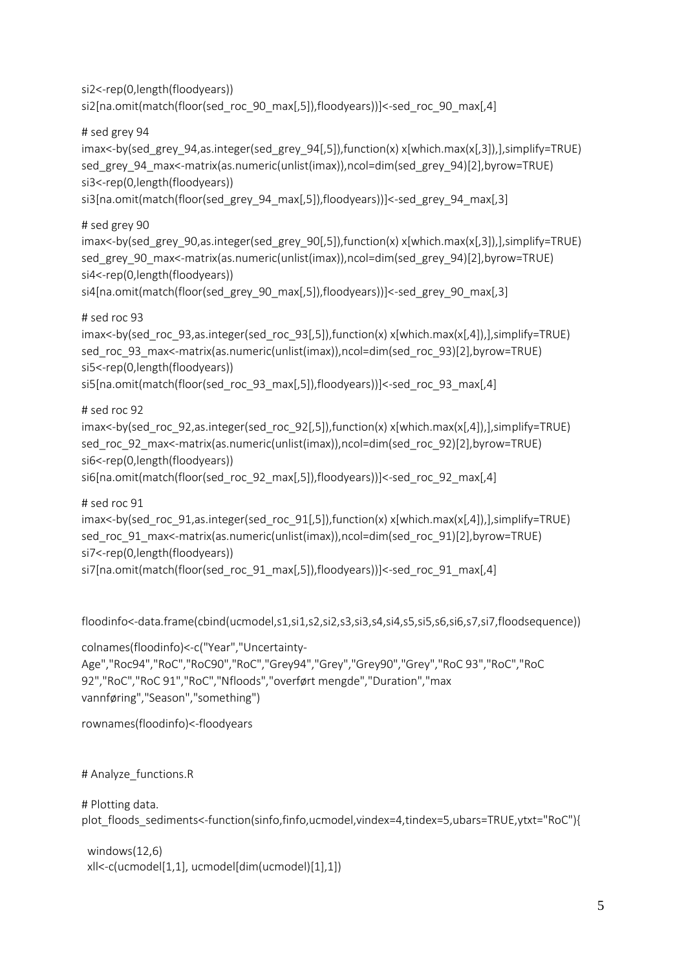```
si2<-rep(0,length(floodyears))
si2[na.omit(match(floor(sed_roc_90_max[,5]),floodyears))]<-sed_roc_90_max[,4]
```
# sed grey 94

imax<-by(sed\_grey\_94,as.integer(sed\_grey\_94[,5]),function(x) x[which.max(x[,3]),],simplify=TRUE) sed\_grey\_94\_max<-matrix(as.numeric(unlist(imax)),ncol=dim(sed\_grey\_94)[2],byrow=TRUE) si3<-rep(0,length(floodyears))

```
si3[na.omit(match(floor(sed_grey_94_max[,5]),floodyears))]<-sed_grey_94_max[,3]
```
# sed grey 90

imax<-by(sed\_grey\_90,as.integer(sed\_grey\_90[,5]),function(x) x[which.max(x[,3]),],simplify=TRUE) sed\_grey\_90\_max<-matrix(as.numeric(unlist(imax)),ncol=dim(sed\_grey\_94)[2],byrow=TRUE) si4<-rep(0,length(floodyears))

```
si4[na.omit(match(floor(sed_grey_90_max[,5]),floodyears))]<-sed_grey_90_max[,3]
```
# sed roc 93

imax<-by(sed\_roc\_93,as.integer(sed\_roc\_93[,5]),function(x) x[which.max(x[,4]),],simplify=TRUE) sed\_roc\_93\_max<-matrix(as.numeric(unlist(imax)),ncol=dim(sed\_roc\_93)[2],byrow=TRUE) si5<-rep(0,length(floodyears))

```
si5[na.omit(match(floor(sed_roc_93_max[,5]),floodyears))]<-sed_roc_93_max[,4]
```
# sed roc 92

imax<-by(sed\_roc\_92,as.integer(sed\_roc\_92[,5]),function(x) x[which.max(x[,4]),],simplify=TRUE) sed\_roc\_92\_max<-matrix(as.numeric(unlist(imax)),ncol=dim(sed\_roc\_92)[2],byrow=TRUE) si6<-rep(0,length(floodyears))

```
si6[na.omit(match(floor(sed_roc_92_max[,5]),floodyears))]<-sed_roc_92_max[,4]
```
# sed roc 91

imax<-by(sed\_roc\_91,as.integer(sed\_roc\_91[,5]),function(x) x[which.max(x[,4]),],simplify=TRUE) sed\_roc\_91\_max<-matrix(as.numeric(unlist(imax)),ncol=dim(sed\_roc\_91)[2],byrow=TRUE) si7<-rep(0,length(floodyears))

si7[na.omit(match(floor(sed\_roc\_91\_max[,5]),floodyears))]<-sed\_roc\_91\_max[,4]

floodinfo<-data.frame(cbind(ucmodel,s1,si1,s2,si2,s3,si3,s4,si4,s5,si5,s6,si6,s7,si7,floodsequence))

colnames(floodinfo)<-c("Year","Uncertainty-Age","Roc94","RoC","RoC90","RoC","Grey94","Grey","Grey90","Grey","RoC 93","RoC","RoC 92","RoC","RoC 91","RoC","Nfloods","overført mengde","Duration","max vannføring","Season","something")

rownames(floodinfo)<-floodyears

# Analyze\_functions.R

```
# Plotting data.
plot floods sediments<-function(sinfo,finfo,ucmodel,vindex=4,tindex=5,ubars=TRUE,ytxt="RoC"){
```
 windows(12,6) xll<-c(ucmodel[1,1], ucmodel[dim(ucmodel)[1],1])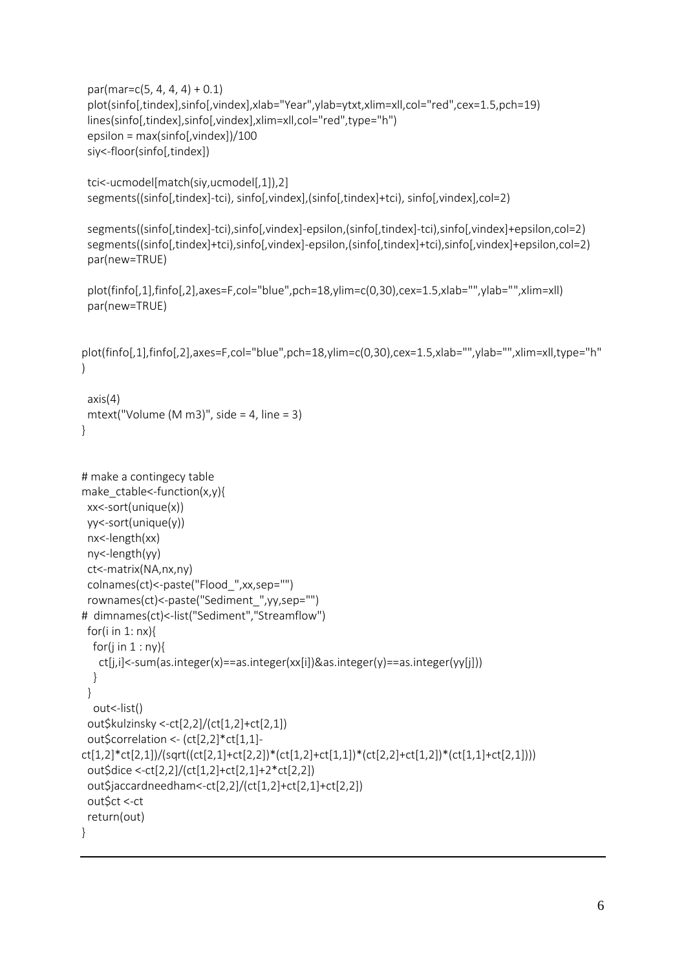```
par(max=c(5, 4, 4, 4) + 0.1) plot(sinfo[,tindex],sinfo[,vindex],xlab="Year",ylab=ytxt,xlim=xll,col="red",cex=1.5,pch=19)
  lines(sinfo[,tindex],sinfo[,vindex],xlim=xll,col="red",type="h") 
  epsilon = max(sinfo[,vindex])/100
  siy<-floor(sinfo[,tindex])
  tci<-ucmodel[match(siy,ucmodel[,1]),2]
  segments((sinfo[,tindex]-tci), sinfo[,vindex],(sinfo[,tindex]+tci), sinfo[,vindex],col=2)
  segments((sinfo[,tindex]-tci),sinfo[,vindex]-epsilon,(sinfo[,tindex]-tci),sinfo[,vindex]+epsilon,col=2)
  segments((sinfo[,tindex]+tci),sinfo[,vindex]-epsilon,(sinfo[,tindex]+tci),sinfo[,vindex]+epsilon,col=2)
  par(new=TRUE)
  plot(finfo[,1],finfo[,2],axes=F,col="blue",pch=18,ylim=c(0,30),cex=1.5,xlab="",ylab="",xlim=xll)
  par(new=TRUE)
plot(finfo[,1],finfo[,2],axes=F,col="blue",pch=18,ylim=c(0,30),cex=1.5,xlab="",ylab="",xlim=xll,type="h"
)
  axis(4)
  mtext("Volume (M m3)", side = 4, line = 3)
}
# make a contingecy table
make_ctable<-function(x,y){
xx<-sort(unique(x))
  yy<-sort(unique(y))
  nx<-length(xx)
  ny<-length(yy)
  ct<-matrix(NA,nx,ny)
  colnames(ct)<-paste("Flood_",xx,sep="")
  rownames(ct)<-paste("Sediment_",yy,sep="")
# dimnames(ct)<-list("Sediment","Streamflow")
 for(i in 1: nx){
  for(j in 1:ny){
    ct[j,i]<-sum(as.integer(x)==as.integer(xx[i])&as.integer(y)==as.integer(yy[j]))
   }
  }
   out<-list()
  out$kulzinsky <-ct[2,2]/(ct[1,2]+ct[2,1])
  out$correlation <- (ct[2,2]*ct[1,1]-
ct[1,2]*ct[2,1])/(sqrt((ct[2,1]+ct[2,2])*(ct[1,2]+ct[1,1])*(ct[2,2]+ct[1,2])*(ct[1,1]+ct[2,1])))
  out$dice <-ct[2,2]/(ct[1,2]+ct[2,1]+2*ct[2,2])
  out$jaccardneedham<-ct[2,2]/(ct[1,2]+ct[2,1]+ct[2,2])
  out$ct <-ct
  return(out)
```

```
}
```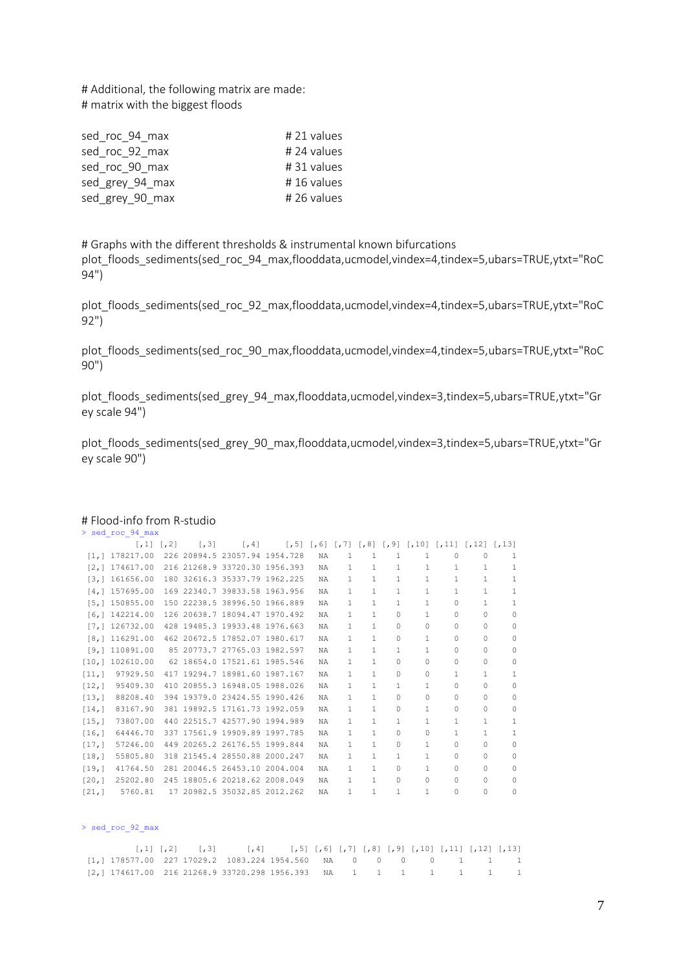# Additional, the following matrix are made: # matrix with the biggest floods

| sed roc 94 max  | $# 21$ values |
|-----------------|---------------|
| sed roc 92 max  | # 24 values   |
| sed roc 90 max  | #31 values    |
| sed grey 94 max | #16 values    |
| sed grey 90 max | # 26 values   |
|                 |               |

# Graphs with the different thresholds & instrumental known bifurcations plot floods sediments(sed roc 94 max,flooddata,ucmodel,vindex=4,tindex=5,ubars=TRUE,ytxt="RoC 94")

plot\_floods\_sediments(sed\_roc\_92\_max,flooddata,ucmodel,vindex=4,tindex=5,ubars=TRUE,ytxt="RoC 92")

plot floods sediments(sed roc 90 max,flooddata,ucmodel,vindex=4,tindex=5,ubars=TRUE,ytxt="RoC 90")

plot floods sediments(sed grey 94 max,flooddata,ucmodel,vindex=3,tindex=5,ubars=TRUE,ytxt="Gr ey scale 94")

plot\_floods\_sediments(sed\_grey\_90\_max,flooddata,ucmodel,vindex=3,tindex=5,ubars=TRUE,ytxt="Gr ey scale 90")

|                      | > sed roc 94 max |     |       |                               |           |    |    |          |          |              |                                                                             |   |
|----------------------|------------------|-----|-------|-------------------------------|-----------|----|----|----------|----------|--------------|-----------------------------------------------------------------------------|---|
|                      | $1, 11$ $1, 21$  |     | 1, 31 | $\lceil$ , 41                 |           |    |    |          |          |              | $[, 5]$ $[, 6]$ $[, 7]$ $[, 8]$ $[, 9]$ $[, 10]$ $[, 11]$ $[, 12]$ $[, 13]$ |   |
|                      | [1, 1 178217.00] |     |       | 226 20894.5 23057.94 1954.728 | <b>NA</b> | 1. | 1  | 1        | 1        | 0            | $\Omega$                                                                    | 1 |
| $\lceil 2, 1 \rceil$ | 174617.00        |     |       | 216 21268.9 33720.30 1956.393 | NA        | 1  | 1  | 1        | 1        | 1            | 1                                                                           | 1 |
| 13,1                 | 161656.00        |     |       | 180 32616.3 35337.79 1962.225 | <b>NA</b> | 1  | 1  | 1        | 1        | $\mathbf{1}$ | 1                                                                           | 1 |
|                      | [4, 1 157695.00] |     |       | 169 22340.7 39833.58 1963.956 | <b>NA</b> | 1  | 1  | 1        | 1        | $\mathbf{1}$ | 1                                                                           | 1 |
| [5,1]                | 150855.00        |     |       | 150 22238.5 38996.50 1966.889 | NA        | 1. | 1  | 1        | 1        | 0            | 1                                                                           | 1 |
| [6, 1]               | 142214.00        |     |       | 126 20638.7 18094.47 1970.492 | NA        | 1. | 1  | $\Omega$ | 1        | 0            | $\Omega$                                                                    | 0 |
| [7,1]                | 126732.00        |     |       | 428 19485.3 19933.48 1976.663 | NA        | 1. | 1  | $\Omega$ | $\Omega$ | 0            | $\Omega$                                                                    | 0 |
| [8,1]                | 116291.00        |     |       | 462 20672.5 17852.07 1980.617 | NA        | 1. | 1  | $\Omega$ | 1        | 0            | $\Omega$                                                                    | 0 |
| [9,1]                | 110891.00        |     |       | 85 20773.7 27765.03 1982.597  | NA        | 1. | 1. | 1        | 1        | 0            | $\Omega$                                                                    | 0 |
| [10, 1]              | 102610.00        |     |       | 62 18654.0 17521.61 1985.546  | NA        | 1. | 1  | $\Omega$ | $\Omega$ | 0            | $\Omega$                                                                    | 0 |
| [11, 1]              | 97929.50         |     |       | 417 19294.7 18981.60 1987.167 | <b>NA</b> | 1. | 1  | $\Omega$ | $\Omega$ | 1.           | 1                                                                           | 1 |
| [12, 1]              | 95409.30         |     |       | 410 20855.3 16948.05 1988.026 | NA        | 1. | 1  | 1.       | 1        | 0            | $\bigcap$                                                                   | 0 |
| [13, 1]              | 88208.40         |     |       | 394 19379.0 23424.55 1990.426 | NA        | 1. | 1  | $\Omega$ | $\Omega$ | $\Omega$     | $\Omega$                                                                    | 0 |
| [14,]                | 83167.90         |     |       | 381 19892.5 17161.73 1992.059 | NA        | 1. | 1  | $\Omega$ | 1        | 0            | $\Omega$                                                                    | 0 |
| [15, 1]              | 73807.00         |     |       | 440 22515.7 42577.90 1994.989 | <b>NA</b> | 1. | 1  | 1        | 1        | 1            | 1                                                                           | 1 |
| [16,]                | 64446.70         |     |       | 337 17561.9 19909.89 1997.785 | NA        | 1. | 1  | $\Omega$ | $\Omega$ | 1            | 1                                                                           | 1 |
| [17,]                | 57246.00         |     |       | 449 20265.2 26176.55 1999.844 | NA        | 1. | 1  | $\Omega$ | 1        | 0            | $\cap$                                                                      | 0 |
| [18, 1]              | 55805.80         |     |       | 318 21545.4 28550.88 2000.247 | <b>NA</b> | 1. | 1. | 1.       | 1        | 0            | $\Omega$                                                                    | 0 |
| [19,]                | 41764.50         |     |       | 281 20046.5 26453.10 2004.004 | NA        | 1. | 1  | 0        | 1        | 0            | $\Omega$                                                                    | 0 |
| [20, 1]              | 25202.80         | 245 |       | 18805.6 20218.62 2008.049     | NA.       | 1. | 1  | 0        | $\Omega$ | 0            | $\Omega$                                                                    | 0 |
| [21, 1]              | 5760.81          |     |       | 17 20982.5 35032.85 2012.262  | NA.       | 1. | 1  | 1        | 1        | 0            | $\cap$                                                                      | 0 |

#### # Flood-info from R-studio

|                                                                                                                          |  | $\lbrack 1 \rbrack \rbrack \rbrack 2 \rbrack \rbrack \rbrack 3 \rbrack \rbrack 3 \rbrack \rbrack 4 \rbrack \rbrack 5 \rbrack \rbrack 5 \rbrack 6 \rbrack \rbrack 6 \rbrack \rbrack 7 \rbrack \rbrack 8 \rbrack \rbrack 8 \rbrack \rbrack 9 \rbrack \rbrack 10 \rbrack \rbrack 11 \rbrack \rbrack 12 \rbrack \rbrack 13 \rbrack$ |  |  |  |  |  |
|--------------------------------------------------------------------------------------------------------------------------|--|---------------------------------------------------------------------------------------------------------------------------------------------------------------------------------------------------------------------------------------------------------------------------------------------------------------------------------|--|--|--|--|--|
| [1,1 178577.00 227 17029.2 1083.224 1954.560 NA     0     0     0     0     1     1                                      |  |                                                                                                                                                                                                                                                                                                                                 |  |  |  |  |  |
| $[2,1\ 174617.00\ 216\ 21268.9\ 33720.298\ 1956.393\quad\quad\text{NA}\quad 1\quad 1\quad 1\quad 1\quad 1\quad 1\quad 1$ |  |                                                                                                                                                                                                                                                                                                                                 |  |  |  |  |  |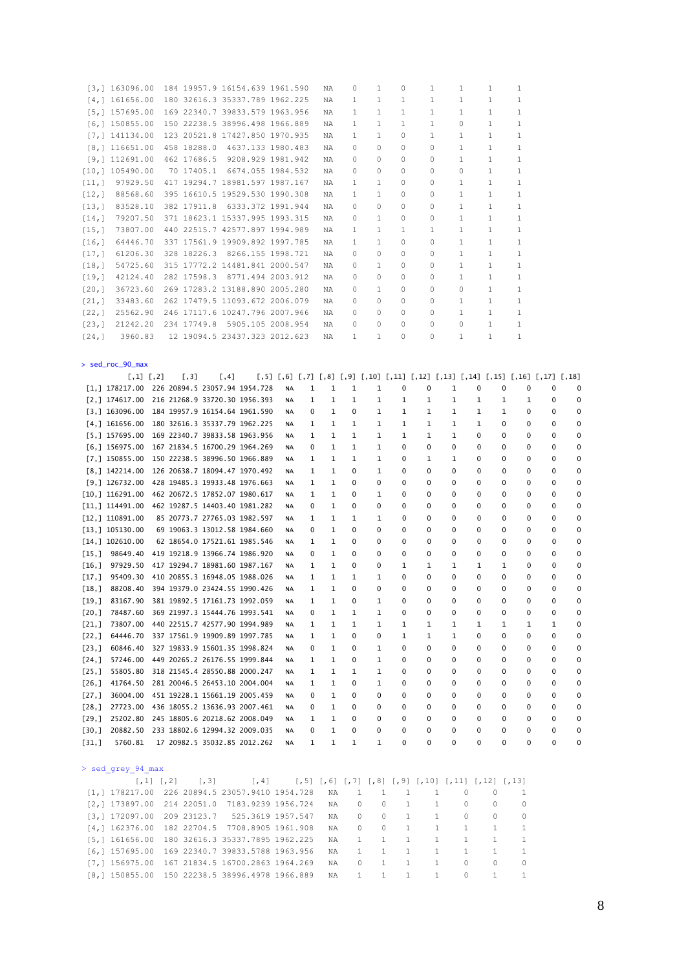|                       | [3, 1 163096.00]                                |                   |                              |       | 184 19957.9 16154.639 1961.590         |           |             | ΝA           | 0            | 1            | 0            | 1                                                                                                          | 1            | $\mathbf{1}$ |             | 1            |   |   |
|-----------------------|-------------------------------------------------|-------------------|------------------------------|-------|----------------------------------------|-----------|-------------|--------------|--------------|--------------|--------------|------------------------------------------------------------------------------------------------------------|--------------|--------------|-------------|--------------|---|---|
|                       | [4, 1 161656.00]                                |                   |                              |       | 180 32616.3 35337.789 1962.225         |           |             | ΝA           | 1            | 1            | 1            | 1                                                                                                          | 1            | 1            |             | 1            |   |   |
|                       | [5, 1 157695.00]                                |                   |                              |       | 169 22340.7 39833.579 1963.956         |           |             | ΝA           | $\mathbf{1}$ | 1            | 1            | 1                                                                                                          | $\mathbf{1}$ | $\mathbf{1}$ |             | $\mathbf{1}$ |   |   |
|                       | [6, 1 150855.00]                                |                   |                              |       | 150 22238.5 38996.498 1966.889         |           |             | ΝA           | 1            | $\mathbf{1}$ | 1            | 1                                                                                                          | 0            | 1            |             | $\mathbf{1}$ |   |   |
|                       | [7, 111134.00]                                  |                   |                              |       | 123 20521.8 17427.850 1970.935         |           |             | ΝA           | 1            | $\mathbf{1}$ | 0            | $\mathbf{1}$                                                                                               | $\mathbf{1}$ | $\mathbf{1}$ |             | $\mathbf{1}$ |   |   |
|                       | [8, 116651.00]                                  |                   |                              |       | 458 18288.0 4637.133 1980.483          |           |             | ΝA           | 0            | 0            | 0            | 0                                                                                                          | $\mathbf{1}$ | 1            |             | 1            |   |   |
|                       | [9, 112691.00]                                  |                   |                              |       | 462 17686.5 9208.929 1981.942          |           |             | ΝA           | 0            | 0            | 0            | 0                                                                                                          | $\mathbf{1}$ | 1            |             | 1            |   |   |
|                       |                                                 |                   |                              |       |                                        |           |             |              | 0            |              | 0            | 0                                                                                                          | 0            | $\mathbf{1}$ |             | 1            |   |   |
|                       | [10, 1 105490.00]                               |                   |                              |       | 70 17405.1 6674.055 1984.532           |           |             | NA           |              | 0            |              |                                                                                                            |              |              |             |              |   |   |
|                       | [11, 1 97929.50                                 |                   |                              |       | 417 19294.7 18981.597 1987.167         |           |             | ΝA           | 1            | 1            | 0            | 0                                                                                                          | $\mathbf{1}$ | 1            |             | $\mathbf{1}$ |   |   |
|                       | [12, 1 88568.60]                                |                   |                              |       | 395 16610.5 19529.530 1990.308         |           |             | ΝA           | $\mathbf{1}$ | 1            | 0            | 0                                                                                                          | $\mathbf{1}$ | $\mathbf{1}$ |             | $\mathbf{1}$ |   |   |
|                       | [13, 1 83528.10                                 |                   |                              |       | 382 17911.8 6333.372 1991.944          |           |             | ΝA           | 0            | 0            | 0            | 0                                                                                                          | $\mathbf{1}$ | $\mathbf{1}$ |             | $\mathbf{1}$ |   |   |
|                       | $[14,]$ 79207.50                                |                   |                              |       | 371 18623.1 15337.995 1993.315         |           |             | ΝA           | 0            | 1            | 0            | 0                                                                                                          | $\mathbf{1}$ | 1            |             | $1\,$        |   |   |
| [15,]                 | 73807.00                                        |                   |                              |       | 440 22515.7 42577.897 1994.989         |           |             | ΝA           | $\mathbf{1}$ | $\mathbf{1}$ | 1            | 1                                                                                                          | $\mathbf{1}$ | 1            |             | 1            |   |   |
|                       | [16,] 64446.70                                  |                   |                              |       | 337 17561.9 19909.892 1997.785         |           |             | NA           | $\mathbf{1}$ | 1            | 0            | 0                                                                                                          | $\mathbf{1}$ | 1            |             | 1            |   |   |
|                       | [17,] 61206.30                                  |                   |                              |       | 328 18226.3 8266.155 1998.721          |           |             | ΝA           | 0            | 0            | 0            | 0                                                                                                          | $\mathbf{1}$ | $\mathbf{1}$ |             | $\mathbf{1}$ |   |   |
| [18,]                 | 54725.60                                        |                   |                              |       | 315 17772.2 14481.841 2000.547         |           |             | ΝA           | 0            | 1            | 0            | 0                                                                                                          | $\mathbf{1}$ | 1            |             | $\mathbf{1}$ |   |   |
|                       | $[19,]$ $42124.40$                              |                   |                              |       | 282 17598.3 8771.494 2003.912          |           |             | ΝA           | 0            | 0            | 0            | 0                                                                                                          | $\mathbf{1}$ | $\mathbf{1}$ |             | 1            |   |   |
|                       | [20,] 36723.60 269 17283.2 13188.890 2005.280   |                   |                              |       |                                        |           |             | NA           | 0            | $\mathbf{1}$ | 0            | 0                                                                                                          | 0            | $\mathbf{1}$ |             | $\mathbf{1}$ |   |   |
|                       | [21,] 33483.60 262 17479.5 11093.672 2006.079   |                   |                              |       |                                        |           |             | ΝA           | 0            | 0            | 0            | 0                                                                                                          | $\mathbf{1}$ | 1            |             | $\mathbf{1}$ |   |   |
|                       | [22,] 25562.90 246 17117.6 10247.796 2007.966   |                   |                              |       |                                        |           |             | NA           | 0            | 0            | 0            | 0                                                                                                          | $\mathbf{1}$ | $\mathbf{1}$ |             | 1            |   |   |
|                       | [23,] 21242.20 234 17749.8 5905.105 2008.954    |                   |                              |       |                                        |           |             | NA           | 0            | 0            | 0            | 0                                                                                                          | 0            | 1            |             | 1            |   |   |
| [24,]                 | 3960.83                                         |                   |                              |       | 12 19094.5 23437.323 2012.623          |           |             | ΝA           | 1            | 1            | 0            | 0                                                                                                          | $\mathbf{1}$ | $\mathbf{1}$ |             | 1            |   |   |
|                       |                                                 |                   |                              |       |                                        |           |             |              |              |              |              |                                                                                                            |              |              |             |              |   |   |
|                       |                                                 |                   |                              |       |                                        |           |             |              |              |              |              |                                                                                                            |              |              |             |              |   |   |
|                       | > sed_roc_90_max                                |                   |                              |       |                                        |           |             |              |              |              |              |                                                                                                            |              |              |             |              |   |   |
|                       | $[1,1]$ $[1,2]$                                 |                   | [,3]                         | [, 4] |                                        |           |             |              |              |              |              | $[,5]$ $[,6]$ $[,7]$ $[,8]$ $[,9]$ $[,10]$ $[,11]$ $[,12]$ $[,13]$ $[,14]$ $[,15]$ $[,16]$ $[,17]$ $[,18]$ |              |              |             |              |   |   |
|                       | [1,] 178217.00 226 20894.5 23057.94 1954.728    |                   |                              |       |                                        | NA        | 1           | 1            | 1            | 1            | 0            | 0                                                                                                          | 1            | 0            | 0           | 0            | 0 | C |
|                       | [2,] 174617.00 216 21268.9 33720.30 1956.393    |                   |                              |       |                                        | NA        | 1           | 1            | 1            | 1            | 1            | 1                                                                                                          | 1            | 1            | 1           | 1            | 0 | O |
|                       | [3,] 163096.00 184 19957.9 16154.64 1961.590    |                   |                              |       |                                        | NA        | 0           | 1            | 0            | 1            | 1            | 1                                                                                                          | 1            | 1            | 1           | 0            | 0 | O |
|                       | $[4,]$ 161656.00 180 32616.3 35337.79 1962.225  |                   |                              |       |                                        | NA        | 1           | 1            | 1            | 1            | $\mathbf{1}$ | 1                                                                                                          | 1            | 1            | $\mathbf 0$ | 0            | 0 | O |
|                       | $[5,]$ 157695.00 169 22340.7 39833.58 1963.956  |                   |                              |       |                                        | NA        | 1           | 1            | 1            | 1            | 1            | 1                                                                                                          | 1            | 0            | $\mathbf 0$ | 0            | 0 | O |
|                       | [6,] 156975.00 167 21834.5 16700.29 1964.269    |                   |                              |       |                                        | NA        | 0           | 1            | 1            | 1            | 0            | 0                                                                                                          | 0            | 0            | 0           | 0            | 0 | O |
|                       | $[7,]$ 150855.00                                |                   |                              |       | 150 22238.5 38996.50 1966.889          | NA        | 1           | 1            | 1            | 1            | 0            | 1                                                                                                          | 1            | 0            | 0           | 0            | 0 | O |
|                       | $[8,]$ 142214.00                                |                   |                              |       | 126 20638.7 18094.47 1970.492          | NA        | 1           | 1            | 0            | 1            | 0            | 0                                                                                                          | 0            | 0            | 0           | 0            | 0 | C |
|                       | $[9,]$ 126732.00                                |                   |                              |       | 428 19485.3 19933.48 1976.663          | NA        | 1           | 1            | $\mathbf 0$  | 0            | 0            | 0                                                                                                          | 0            | 0            | 0           | 0            | 0 | O |
|                       |                                                 |                   |                              |       |                                        |           |             |              |              |              |              |                                                                                                            |              |              |             | 0            |   |   |
|                       | [10,] 116291.00                                 |                   |                              |       | 462 20672.5 17852.07 1980.617          | NA        | 1           | 1            | 0            | 1            | 0            | 0                                                                                                          | 0            | 0            | 0           |              | 0 | C |
|                       | [11,] 114491.00                                 |                   |                              |       | 462 19287.5 14403.40 1981.282          | NA        | $\mathbf 0$ | 1            | $\mathbf 0$  | 0            | 0            | 0                                                                                                          | 0            | 0            | 0           | 0            | 0 | O |
|                       | [12,] 110891.00                                 |                   |                              |       | 85 20773.7 27765.03 1982.597           | NA        | 1           | 1            | 1            | 1            | 0            | 0                                                                                                          | 0            | 0            | $\mathbf 0$ | 0            | 0 | C |
|                       | [13, 1 105130.00]                               |                   |                              |       | 69 19063.3 13012.58 1984.660           | NA        | 0           | 1            | 0            | 0            | 0            | 0                                                                                                          | 0            | 0            | 0           | 0            | 0 | O |
|                       | [14, 1 102610.00]                               |                   |                              |       | 62 18654.0 17521.61 1985.546           | NA        | 1           | 1            | 0            | 0            | 0            | 0                                                                                                          | 0            | 0            | 0           | 0            | 0 | C |
|                       | $[15,]$ 98649.40                                |                   |                              |       | 419 19218.9 13966.74 1986.920          | NA        | 0           | 1            | 0            | 0            | 0            | 0                                                                                                          | 0            | 0            | 0           | 0            | 0 | O |
|                       | $[16,]$ 97929.50                                |                   |                              |       | 417 19294.7 18981.60 1987.167          | NA        | 1           | 1            | $\mathbf 0$  | 0            | 1            | 1                                                                                                          | 1            | 1            | 1           | 0            | 0 | C |
| [17,]                 | 95409.30                                        |                   |                              |       | 410 20855.3 16948.05 1988.026          | <b>NA</b> | 1           | 1            | 1            | 1            | 0            | 0                                                                                                          | 0            | 0            | 0           | 0            | 0 | O |
| [18,1]                | 88208.40                                        |                   |                              |       | 394 19379.0 23424.55 1990.426          | <b>NA</b> | 1           | 1            | 0            | 0            | 0            | 0                                                                                                          | 0            | 0            | 0           | 0            | 0 | C |
| $\lfloor 19, \rfloor$ | 83167.90                                        |                   |                              |       | 381 19892.5 17161.73 1992.059          | NA        | 1           | 1            | 0            | 1            | 0            | 0                                                                                                          | 0            | 0            | 0           | 0            | 0 |   |
| $[20,$ ]              | 78487.60                                        |                   |                              |       | 369 21997.3 15444.76 1993.541          | NA        | 0           | 1            | 1            | 1            | 0            | 0                                                                                                          | 0            | 0            | 0           | 0            | 0 |   |
| [21,]                 |                                                 |                   |                              |       | 73807.00 440 22515.7 42577.90 1994.989 | NA        | 1           | 1            | 1            | 1            | 1            | 1                                                                                                          | 1            | 1            | 1           | 1            | 1 | O |
| [22,]                 |                                                 |                   |                              |       | 64446.70 337 17561.9 19909.89 1997.785 | NA        | 1           | 1            | 0            | 0            | $\mathbf{1}$ | $\mathbf{1}$                                                                                               | $\mathbf{1}$ | 0            | 0           | 0            | 0 | 0 |
| [23,]                 |                                                 |                   |                              |       | 60846.40 327 19833.9 15601.35 1998.824 | NA        | 0           | 1            | 0            | 1            | 0            | $\mathbf 0$                                                                                                | 0            | 0            | 0           | 0            | 0 |   |
| [24,]                 |                                                 |                   |                              |       | 57246.00 449 20265.2 26176.55 1999.844 | NA        | 1           | 1            | 0            | 1            | 0            | 0                                                                                                          | 0            | 0            | 0           | 0            | 0 | О |
| [25,]                 |                                                 |                   |                              |       | 55805.80 318 21545.4 28550.88 2000.247 | NA        | 1           | 1            | 1            | 1            | 0            | 0                                                                                                          | 0            | 0            | 0           | 0            | 0 | C |
| [26, ]                |                                                 |                   |                              |       | 41764.50 281 20046.5 26453.10 2004.004 | NA        | 1           | 1            | 0            | 1            | 0            | 0                                                                                                          | 0            | 0            | 0           | 0            | 0 |   |
| [27,]                 |                                                 |                   |                              |       | 36004.00 451 19228.1 15661.19 2005.459 | NA        | 0           | 1            | 0            | 0            | 0            | 0                                                                                                          | 0            | 0            | 0           | 0            | 0 | C |
| [28,]                 |                                                 |                   |                              |       | 27723.00 436 18055.2 13636.93 2007.461 | NA        | 0           | 1            | 0            | 0            | 0            | 0                                                                                                          | 0            | 0            | 0           | 0            | 0 | O |
|                       |                                                 |                   |                              |       |                                        |           |             |              |              |              |              |                                                                                                            |              |              |             |              |   |   |
| [29,]                 |                                                 |                   |                              |       | 25202.80 245 18805.6 20218.62 2008.049 | NA        | 1           | 1            | 0            | 0            | 0            | 0                                                                                                          | 0            | 0            | 0           | 0            | 0 |   |
| [30,]                 |                                                 |                   |                              |       | 20882.50 233 18802.6 12994.32 2009.035 | NA        | 0           | $\mathbf{1}$ | 0            | 0            | 0            | 0                                                                                                          | 0            | 0            | 0           | 0            | 0 |   |
| [31,]                 | 5760.81                                         |                   |                              |       | 17 20982.5 35032.85 2012.262           | NA        | 1           | 1            | 1            | 1            | 0            | 0                                                                                                          | 0            | 0            | 0           | 0            | 0 | C |
|                       | > sed grey 94 max                               |                   |                              |       |                                        |           |             |              |              |              |              |                                                                                                            |              |              |             |              |   |   |
|                       |                                                 | $[1, 1]$ $[1, 2]$ | $\left[ \frac{1}{2} \right]$ |       | [74]                                   |           |             |              |              |              |              | $[, 5]$ $[, 6]$ $[, 7]$ $[, 8]$ $[, 9]$ $[, 10]$ $[, 11]$ $[, 12]$ $[, 13]$                                |              |              |             |              |   |   |
|                       | $[1, 178217.00 226 20894.5 23057.9410 1954.728$ |                   |                              |       |                                        |           |             | ΝA           | 1            | $\mathbf{1}$ | 1            | $\mathbf{1}$                                                                                               | $\circ$      |              | 0           | 1            |   |   |
|                       | $[2,]$ 173897.00 214 22051.0 7183.9239 1956.724 |                   |                              |       |                                        |           |             | ΝA           | 0            | $\mathbb O$  | $\mathbf{1}$ | $\mathbf{1}$                                                                                               | 0            |              | 0           | $\mathbb O$  |   |   |
|                       | [3, 172097.00 209 23123.7]                      |                   |                              |       | 525.3619 1957.547                      |           |             | ΝA           | 0            | 0            | 1            | $\mathbf{1}$                                                                                               | 0            |              | 0           | 0            |   |   |
|                       | [4,] 162376.00 182 22704.5 7708.8905 1961.908   |                   |                              |       |                                        |           |             | ΝA           | 0            | $\mathbb O$  | $\mathbf{1}$ | $\mathbf{1}$                                                                                               | $\mathbf{1}$ |              | 1           | $1\,$        |   |   |
|                       | [5,] 161656.00 180 32616.3 35337.7895 1962.225  |                   |                              |       |                                        |           |             | ΝA           | $\mathbf{1}$ | 1            | $\mathbf{1}$ | 1                                                                                                          | 1            |              | 1           | 1            |   |   |
|                       | [6, ] 157695.00 169 22340.7 39833.5788 1963.956 |                   |                              |       |                                        |           |             | ΝA           | 1            | 1            | $\mathbf 1$  | $\mathbf{1}$                                                                                               | $\mathbf{1}$ |              | 1           | 1            |   |   |
|                       | [7,] 156975.00 167 21834.5 16700.2863 1964.269  |                   |                              |       |                                        |           |             | ΝA           | 0            | 1            | $\mathbf{1}$ | $\mathbf{1}$                                                                                               | 0            |              | 0           | 0            |   |   |
|                       | [8,] 150855.00 150 22238.5 38996.4978 1966.889  |                   |                              |       |                                        |           |             | ΝA           | 1            | 1            | $\mathbf{1}$ | $\mathbf{1}$                                                                                               | $\mathbb O$  |              | $\mathbf 1$ | 1            |   |   |
|                       |                                                 |                   |                              |       |                                        |           |             |              |              |              |              |                                                                                                            |              |              |             |              |   |   |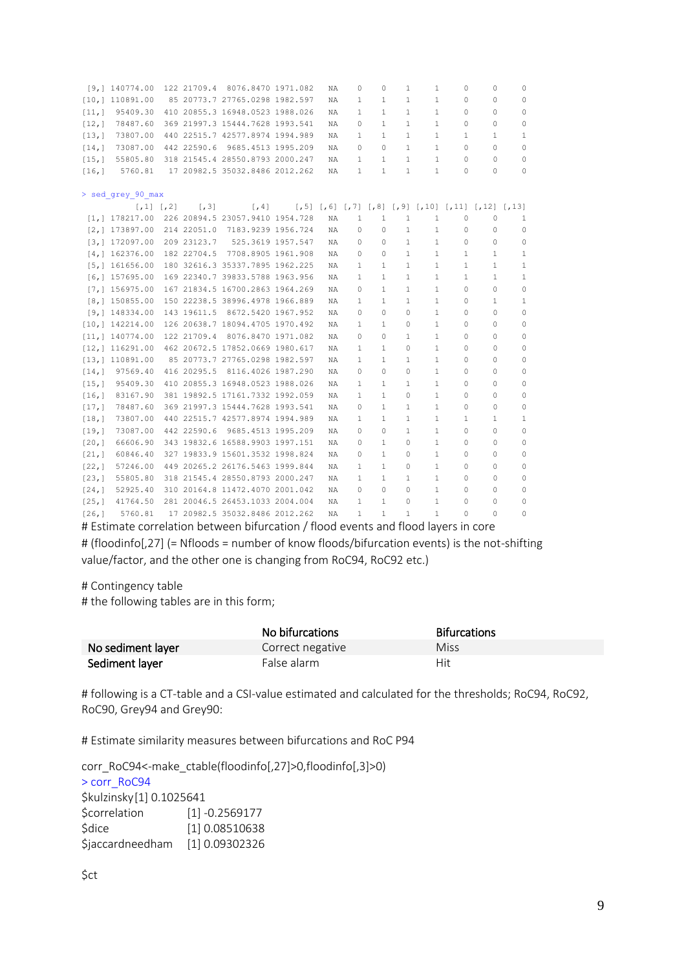|         | [9, 1 140774.00]  |             | 122 21709.4 8076.8470 1971.082  | NA | $\Omega$     | $\Omega$     | $\mathbf{1}$ | $\mathbf{1}$ | $\mathbf{0}$                                                                | 0            | 0            |
|---------|-------------------|-------------|---------------------------------|----|--------------|--------------|--------------|--------------|-----------------------------------------------------------------------------|--------------|--------------|
|         | [10, 110891.00]   |             | 85 20773.7 27765.0298 1982.597  | NA | 1            | 1            | $\mathbf{1}$ | $\mathbf{1}$ | $\Omega$                                                                    | 0            | 0            |
| [11,]   | 95409.30          |             | 410 20855.3 16948.0523 1988.026 | NA | $\mathbf{1}$ | $\mathbf{1}$ | $\mathbf{1}$ | $\mathbf{1}$ | $\Omega$                                                                    | $\Omega$     | 0            |
| [12,]   | 78487.60          |             | 369 21997.3 15444.7628 1993.541 | NA | $\Omega$     | 1            | 1            | $\mathbf{1}$ | $\mathbf{0}$                                                                | 0            | $\mathbf 0$  |
| [13,]   | 73807.00          |             | 440 22515.7 42577.8974 1994.989 | NA | 1            | 1            | 1            | $\mathbf{1}$ | 1                                                                           | $\mathbf{1}$ | 1            |
| [14,]   | 73087.00          | 442 22590.6 | 9685.4513 1995.209              | NA | $\Omega$     | $\Omega$     | $\mathbf{1}$ | $\mathbf{1}$ | $\Omega$                                                                    | 0            | 0            |
| [15,]   | 55805.80          |             | 318 21545.4 28550.8793 2000.247 | NA | 1            | 1            | $\mathbf{1}$ | $\mathbf{1}$ | $\Omega$                                                                    | $\Omega$     | $\circ$      |
| [16,]   | 5760.81           |             | 17 20982.5 35032.8486 2012.262  | NA | 1            | 1            | 1            | $\mathbf{1}$ | $\Omega$                                                                    | 0            | $\Omega$     |
|         |                   |             |                                 |    |              |              |              |              |                                                                             |              |              |
|         | > sed grey 90 max |             |                                 |    |              |              |              |              |                                                                             |              |              |
|         | $[1, 1]$ $[1, 2]$ | [7, 3]      | [74]                            |    |              |              |              |              | $[, 5]$ $[, 6]$ $[, 7]$ $[, 8]$ $[, 9]$ $[, 10]$ $[, 11]$ $[, 12]$ $[, 13]$ |              |              |
|         | [1, 1 178217.00]  |             | 226 20894.5 23057.9410 1954.728 | NA | $\mathbf{1}$ | $\mathbf{1}$ | 1            | 1            | 0                                                                           | 0            | 1            |
|         | [2, 1 173897.00]  | 214 22051.0 | 7183.9239 1956.724              | NA | 0            | 0            | $\mathbf{1}$ | $\mathbf{1}$ | $\circ$                                                                     | 0            | 0            |
|         | [3, 1 172097.00]  | 209 23123.7 | 525.3619 1957.547               | NA | 0            | 0            | $\mathbf{1}$ | $\mathbf{1}$ | $\circ$                                                                     | $\circ$      | $\mathbb O$  |
|         | [4, 1 162376.00]  |             | 182 22704.5 7708.8905 1961.908  | NA | 0            | 0            | $\mathbf{1}$ | $\mathbf{1}$ | 1                                                                           | 1            | 1            |
|         | [5, 1 161656.00]  |             | 180 32616.3 35337.7895 1962.225 | NA | 1            | 1            | $\mathbf{1}$ | 1            | 1                                                                           | $\mathbf{1}$ | 1            |
|         | [6, 1 157695.00]  |             | 169 22340.7 39833.5788 1963.956 | NA | 1            | $\mathbf{1}$ | 1            | $\mathbf{1}$ | $\mathbf{1}$                                                                | $\mathbf{1}$ | 1            |
|         | [7, 1 156975.00]  |             | 167 21834.5 16700.2863 1964.269 | NA | 0            | 1            | 1            | $\mathbf{1}$ | $\circ$                                                                     | 0            | $\mathbb O$  |
|         | [8, 1 150855.00]  |             | 150 22238.5 38996.4978 1966.889 | NA | 1            | 1            | $\mathbf{1}$ | $\mathbf{1}$ | $\circ$                                                                     | $\mathbf{1}$ | $\mathbf{1}$ |
|         | [9, 1 148334.00]  |             | 143 19611.5 8672.5420 1967.952  | NA | $\Omega$     | $\Omega$     | $\Omega$     | $\mathbf{1}$ | $\circ$                                                                     | 0            | 0            |
|         | [10, 1 142214.00] |             | 126 20638.7 18094.4705 1970.492 | NA | 1            | 1            | $\Omega$     | $\mathbf{1}$ | $\circ$                                                                     | 0            | 0            |
|         | [11, 1 140774.00] |             | 122 21709.4 8076.8470 1971.082  | NA | 0            | 0            | 1            | $\mathbf{1}$ | 0                                                                           | 0            | 0            |
|         | [12, 1 116291.00] |             | 462 20672.5 17852.0669 1980.617 | NA | 1            | 1            | 0            | 1            | $\circ$                                                                     | 0            | 0            |
|         | [13, 1 110891.00] |             | 85 20773.7 27765.0298 1982.597  | NA | 1            | $\mathbf{1}$ | 1            | $\mathbf{1}$ | 0                                                                           | 0            | 0            |
|         | [14, 1 97569.40   |             | 416 20295.5 8116.4026 1987.290  | ΝA | 0            | 0            | 0            | $\mathbf{1}$ | 0                                                                           | 0            | 0            |
| [15,]   | 95409.30          |             | 410 20855.3 16948.0523 1988.026 | ΝA | 1            | $\mathbf{1}$ | $\mathbf{1}$ | $\mathbf{1}$ | $\mathbf{0}$                                                                | 0            | 0            |
| [16, 1] | 83167.90          |             | 381 19892.5 17161.7332 1992.059 | ΝA | 1            | $\mathbf{1}$ | 0            | $\mathbf{1}$ | $\mathbf{0}$                                                                | 0            | 0            |
| [17,]   | 78487.60          |             | 369 21997.3 15444.7628 1993.541 | NA | 0            | $\mathbf{1}$ | $\mathbf{1}$ | $\mathbf{1}$ | $\mathbf 0$                                                                 | 0            | $\mathbf 0$  |
| [18,]   | 73807.00          |             | 440 22515.7 42577.8974 1994.989 | NA | $\mathbf{1}$ | $\mathbf{1}$ | $\mathbf{1}$ | $\mathbf{1}$ | $\mathbf{1}$                                                                | $\mathbf{1}$ | $\mathbf{1}$ |
| [19,]   | 73087.00          |             | 442 22590.6 9685.4513 1995.209  | NA | 0            | $\Omega$     | $\mathbf{1}$ | $\mathbf{1}$ | $\Omega$                                                                    | 0            | $\mathbf 0$  |
| [20, 1] | 66606.90          |             | 343 19832.6 16588.9903 1997.151 | NA | 0            | $\mathbf{1}$ | $\Omega$     | $\mathbf{1}$ | $\Omega$                                                                    | 0            | 0            |
| [21,]   | 60846.40          |             | 327 19833.9 15601.3532 1998.824 | NA | 0            | $\mathbf{1}$ | $\Omega$     | $\mathbf{1}$ | $\Omega$                                                                    | 0            | 0            |
| [22,]   | 57246.00          |             | 449 20265.2 26176.5463 1999.844 | NA | 1            | 1            | 0            | 1            | $\Omega$                                                                    | 0            | 0            |
| [23,]   | 55805.80          |             | 318 21545.4 28550.8793 2000.247 | NA | 1            | 1            | 1            | 1            | 0                                                                           | 0            | 0            |
| [24,]   | 52925.40          |             | 310 20164.8 11472.4070 2001.042 | NA | 0            | 0            | 0            | 1            | $\mathbf{0}$                                                                | 0            | 0            |
| [25,]   | 41764.50          |             | 281 20046.5 26453.1033 2004.004 | NA | 1            | $\mathbf{1}$ | 0            | $\mathbf{1}$ | $\mathbf{0}$                                                                | 0            | 0            |
| [26,]   | 5760.81           |             | 17 20982.5 35032.8486 2012.262  | NA | $\mathbf{1}$ | 1            | 1            | $\mathbf{1}$ | $\Omega$                                                                    | $\Omega$     | 0            |

# Estimate correlation between bifurcation / flood events and flood layers in core # (floodinfo[,27] (= Nfloods = number of know floods/bifurcation events) is the not-shifting

value/factor, and the other one is changing from RoC94, RoC92 etc.)

#### # Contingency table

# the following tables are in this form;

|                   | No bifurcations  | <b>Bifurcations</b> |
|-------------------|------------------|---------------------|
| No sediment layer | Correct negative | Miss                |
| Sediment layer    | False alarm      | Hit                 |

# following is a CT-table and a CSI-value estimated and calculated for the thresholds; RoC94, RoC92, RoC90, Grey94 and Grey90:

# Estimate similarity measures between bifurcations and RoC P94

corr\_RoC94<-make\_ctable(floodinfo[,27]>0,floodinfo[,3]>0) > corr\_RoC94 \$kulzinsky[1] 0.1025641 \$correlation [1] -0.2569177 \$dice [1] 0.08510638 \$jaccardneedham [1] 0.09302326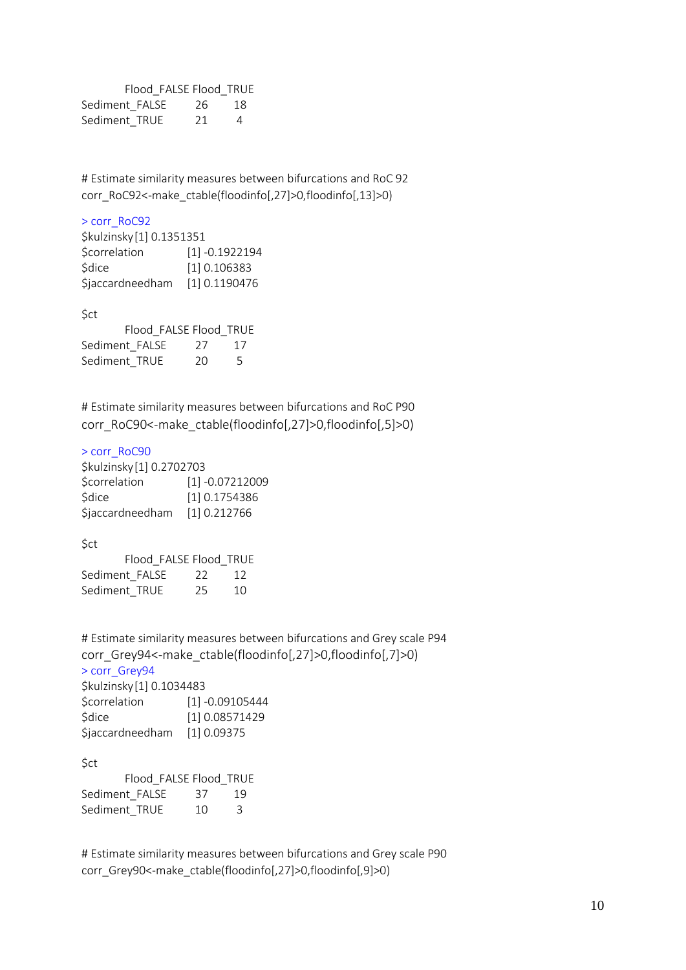Flood\_FALSE Flood\_TRUE Sediment FALSE 26 18 Sediment\_TRUE 21 4

# Estimate similarity measures between bifurcations and RoC 92 corr\_RoC92<-make\_ctable(floodinfo[,27]>0,floodinfo[,13]>0)

### > corr\_RoC92

| \$kulzinsky[1] 0.1351351 |
|--------------------------|
| $[1] -0.1922194$         |
| [1] 0.106383             |
| [1] 0.1190476            |
|                          |

\$ct

|                | Flood FALSE Flood TRUE |                |
|----------------|------------------------|----------------|
| Sediment FALSE | 27                     | -17            |
| Sediment TRUE  | 20                     | $\overline{a}$ |

# Estimate similarity measures between bifurcations and RoC P90 corr\_RoC90<-make\_ctable(floodinfo[,27]>0,floodinfo[,5]>0)

#### > corr\_RoC90

| \$kulzinsky[1] 0.2702703 |                   |
|--------------------------|-------------------|
| <b>\$correlation</b>     | $[1] -0.07212009$ |
| <b>Sdice</b>             | [1] 0.1754386     |
| <b>Sjaccardneedham</b>   | [1] 0.212766      |

\$ct

|                | Flood FALSE Flood TRUE |    |     |
|----------------|------------------------|----|-----|
| Sediment FALSE |                        | 22 | -12 |
| Sediment TRUE  |                        | 25 | 10  |

# Estimate similarity measures between bifurcations and Grey scale P94 corr\_Grey94<-make\_ctable(floodinfo[,27]>0,floodinfo[,7]>0) > corr\_Grey94 \$kulzinsky[1] 0.1034483

| $91312111911$ $11011$ $01100$ $1100$ |                   |
|--------------------------------------|-------------------|
| Scorrelation                         | $[1] -0.09105444$ |
| \$dice                               | [1] 0.08571429    |
| \$jaccardneedham                     | [1] 0.09375       |

\$ct

|                | Flood FALSE Flood TRUE |    |    |
|----------------|------------------------|----|----|
| Sediment FALSE |                        | 37 | 19 |
| Sediment TRUE  |                        | 10 | Κ  |

# Estimate similarity measures between bifurcations and Grey scale P90 corr\_Grey90<-make\_ctable(floodinfo[,27]>0,floodinfo[,9]>0)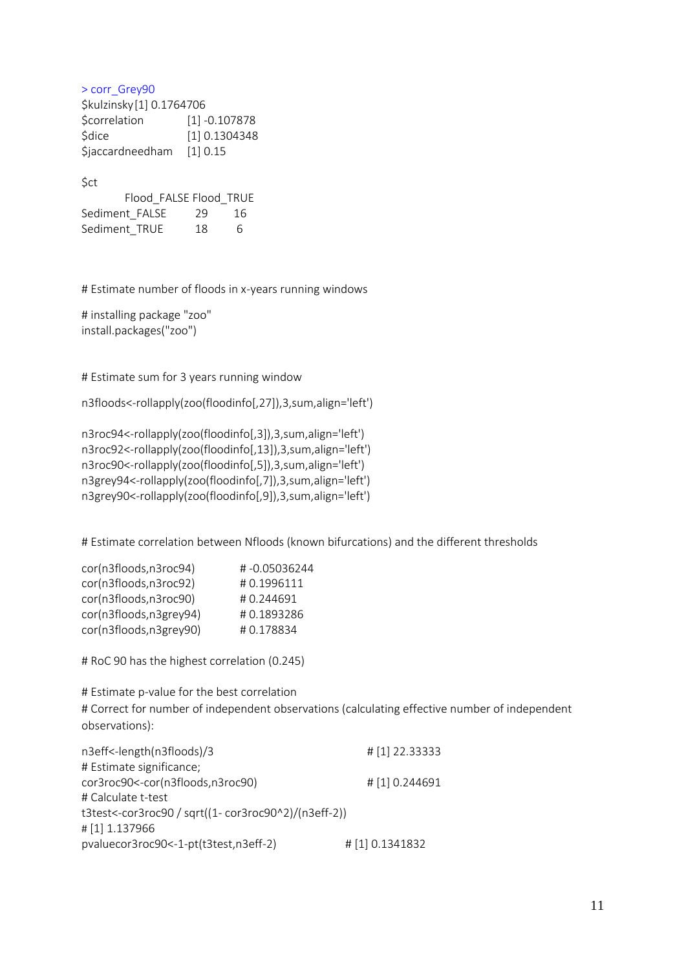> corr\_Grey90 \$kulzinsky[1] 0.1764706 \$correlation [1] -0.107878 \$dice [1] 0.1304348 \$jaccardneedham [1] 0.15

\$ct

|                | Flood FALSE Flood TRUE |    |
|----------------|------------------------|----|
| Sediment FALSE | 29                     | 16 |
| Sediment TRUE  | 18                     | 6  |

# Estimate number of floods in x-years running windows

# installing package "zoo" install.packages("zoo")

# Estimate sum for 3 years running window

n3floods<-rollapply(zoo(floodinfo[,27]),3,sum,align='left')

n3roc94<-rollapply(zoo(floodinfo[,3]),3,sum,align='left') n3roc92<-rollapply(zoo(floodinfo[,13]),3,sum,align='left') n3roc90<-rollapply(zoo(floodinfo[,5]),3,sum,align='left') n3grey94<-rollapply(zoo(floodinfo[,7]),3,sum,align='left') n3grey90<-rollapply(zoo(floodinfo[,9]),3,sum,align='left')

# Estimate correlation between Nfloods (known bifurcations) and the different thresholds

| #-0.05036244 |
|--------------|
| #0.1996111   |
| #0.244691    |
| #0.1893286   |
| #0.178834    |
|              |

# RoC 90 has the highest correlation (0.245)

# Estimate p-value for the best correlation # Correct for number of independent observations (calculating effective number of independent observations):

| n3eff<-length(n3floods)/3                            | # [1] 22.33333  |
|------------------------------------------------------|-----------------|
| # Estimate significance;                             |                 |
| cor3roc90<-cor(n3floods,n3roc90)                     | # [1] 0.244691  |
| # Calculate t-test                                   |                 |
| t3test<-cor3roc90 / sqrt((1- cor3roc90^2)/(n3eff-2)) |                 |
| #[1] 1.137966                                        |                 |
| pvaluecor3roc90 <- 1-pt (t3test, n3eff-2)            | # [1] 0.1341832 |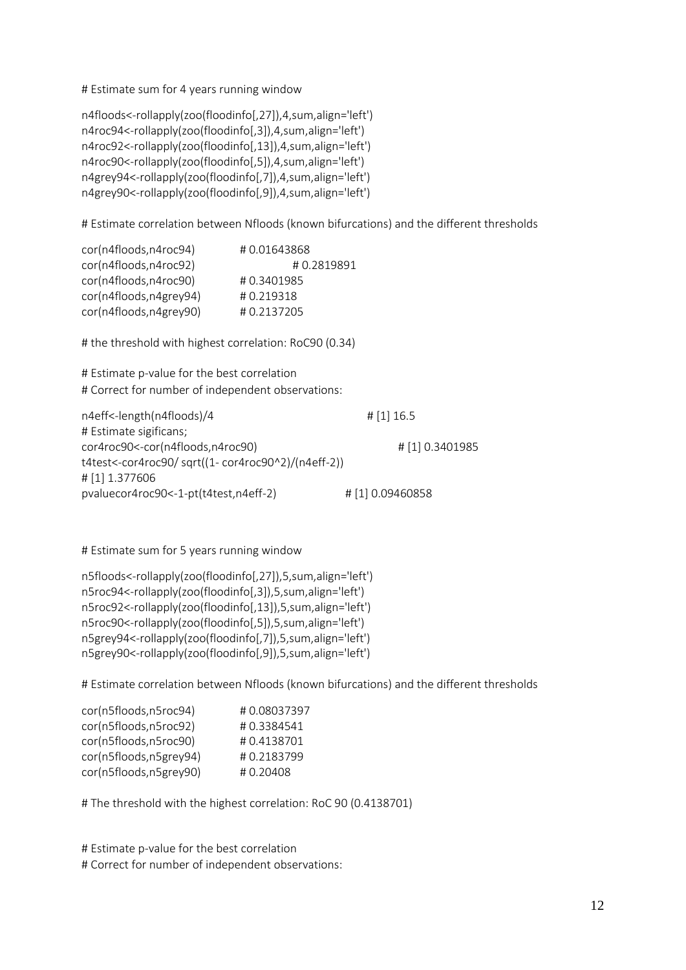# Estimate sum for 4 years running window

```
n4floods<-rollapply(zoo(floodinfo[,27]),4,sum,align='left')
n4roc94<-rollapply(zoo(floodinfo[,3]),4,sum,align='left')
n4roc92<-rollapply(zoo(floodinfo[,13]),4,sum,align='left')
n4roc90<-rollapply(zoo(floodinfo[,5]),4,sum,align='left')
n4grey94<-rollapply(zoo(floodinfo[,7]),4,sum,align='left')
n4grey90<-rollapply(zoo(floodinfo[,9]),4,sum,align='left')
```
# Estimate correlation between Nfloods (known bifurcations) and the different thresholds

| cor(n4floods,n4roc94)  | #0.01643868 |
|------------------------|-------------|
| cor(n4floods,n4roc92)  | #0.2819891  |
| cor(n4floods,n4roc90)  | #0.3401985  |
| cor(n4floods,n4grey94) | #0.219318   |
| cor(n4floods,n4grey90) | #0.2137205  |

# the threshold with highest correlation: RoC90 (0.34)

# Estimate p-value for the best correlation # Correct for number of independent observations:

| n4eff<-length(n4floods)/4                         | $\#$ [1] 16.5   |
|---------------------------------------------------|-----------------|
| # Estimate sigificans;                            |                 |
| cor4roc90<-cor(n4floods,n4roc90)                  | # [1] 0.3401985 |
| t4test<-cor4roc90/sqrt((1-cor4roc90^2)/(n4eff-2)) |                 |
| # [1] 1.377606                                    |                 |
| pvaluecor4roc90 <- 1-pt (t4test, n4eff-2)         | #[1] 0.09460858 |

# Estimate sum for 5 years running window

n5floods<-rollapply(zoo(floodinfo[,27]),5,sum,align='left') n5roc94<-rollapply(zoo(floodinfo[,3]),5,sum,align='left') n5roc92<-rollapply(zoo(floodinfo[,13]),5,sum,align='left') n5roc90<-rollapply(zoo(floodinfo[,5]),5,sum,align='left') n5grey94<-rollapply(zoo(floodinfo[,7]),5,sum,align='left') n5grey90<-rollapply(zoo(floodinfo[,9]),5,sum,align='left')

# Estimate correlation between Nfloods (known bifurcations) and the different thresholds

| cor(n5floods,n5roc94)  | #0.08037397 |
|------------------------|-------------|
| cor(n5floods,n5roc92)  | #0.3384541  |
| cor(n5floods,n5roc90)  | #0.4138701  |
| cor(n5floods,n5grey94) | #0.2183799  |
| cor(n5floods,n5grey90) | #0.20408    |

# The threshold with the highest correlation: RoC 90 (0.4138701)

# Estimate p-value for the best correlation # Correct for number of independent observations: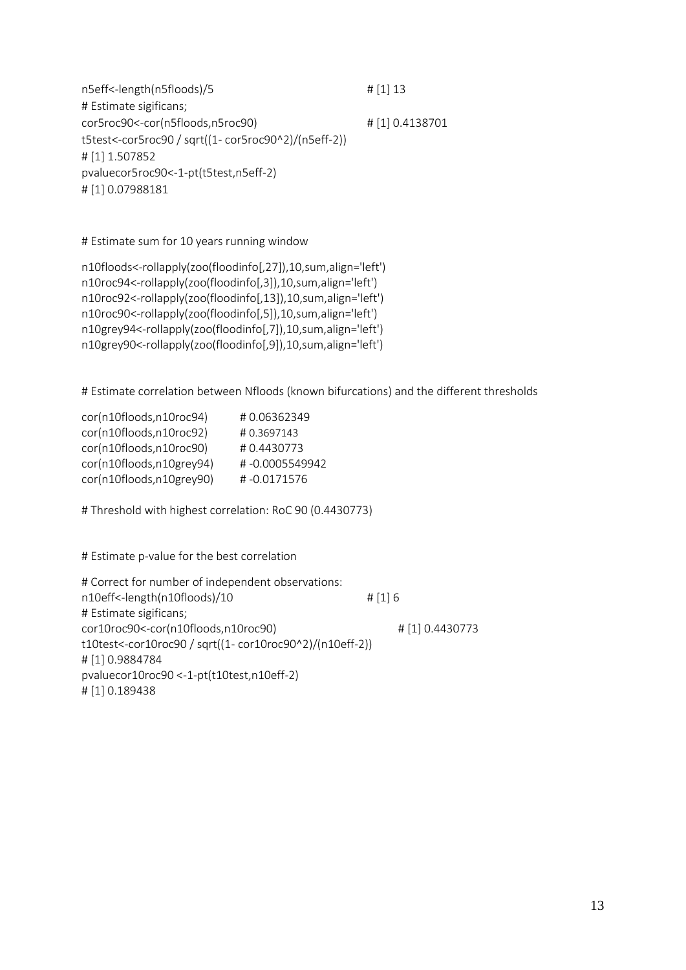n5eff<-length(n5floods)/5 # [1] 13 # Estimate sigificans; cor5roc90<-cor(n5floods,n5roc90) # [1] 0.4138701 t5test<-cor5roc90 / sqrt((1- cor5roc90^2)/(n5eff-2)) # [1] 1.507852 pvaluecor5roc90<-1-pt(t5test,n5eff-2) # [1] 0.07988181

# Estimate sum for 10 years running window

```
n10floods<-rollapply(zoo(floodinfo[,27]),10,sum,align='left')
n10roc94<-rollapply(zoo(floodinfo[,3]),10,sum,align='left')
n10roc92<-rollapply(zoo(floodinfo[,13]),10,sum,align='left')
n10roc90<-rollapply(zoo(floodinfo[,5]),10,sum,align='left')
n10grey94<-rollapply(zoo(floodinfo[,7]),10,sum,align='left')
n10grey90<-rollapply(zoo(floodinfo[,9]),10,sum,align='left')
```
# Estimate correlation between Nfloods (known bifurcations) and the different thresholds

| cor(n10floods,n10roc94)  | #0.06362349    |
|--------------------------|----------------|
| cor(n10floods,n10roc92)  | #0.3697143     |
| cor(n10floods,n10roc90)  | #0.4430773     |
| cor(n10floods,n10grey94) | #-0.0005549942 |
| cor(n10floods,n10grey90) | #-0.0171576    |

# Threshold with highest correlation: RoC 90 (0.4430773)

# Estimate p-value for the best correlation

# Correct for number of independent observations: n10eff<-length(n10floods)/10 # [1] 6 # Estimate sigificans; cor10roc90<-cor(n10floods,n10roc90) # [1] 0.4430773 t10test<-cor10roc90 / sqrt((1- cor10roc90^2)/(n10eff-2)) # [1] 0.9884784 pvaluecor10roc90 <-1-pt(t10test,n10eff-2) # [1] 0.189438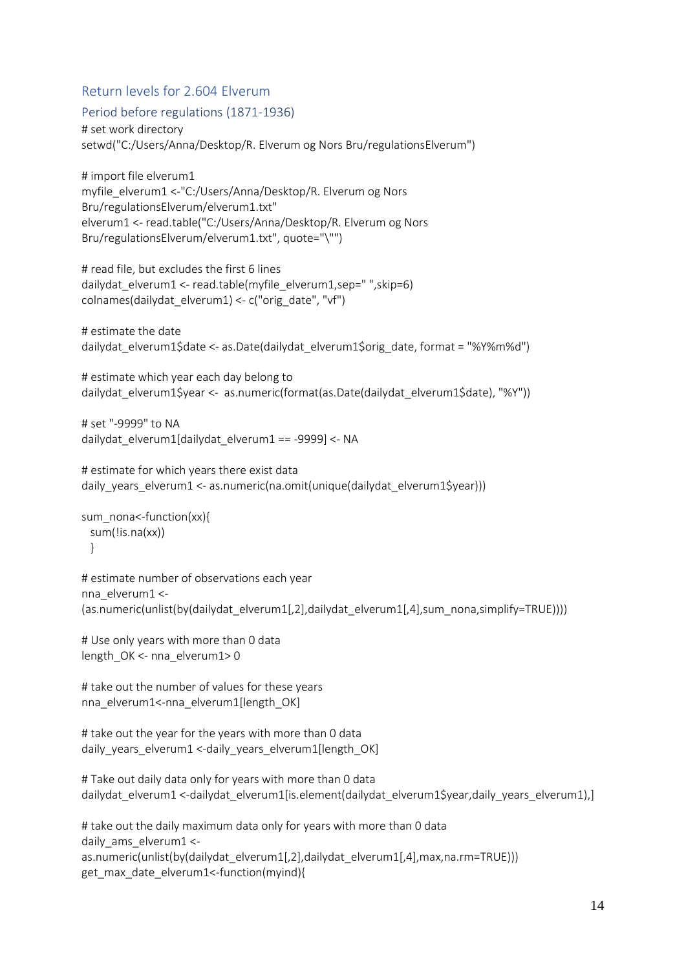### Return levels for 2.604 Elverum

```
Period before regulations (1871-1936)
```

```
# set work directory
setwd("C:/Users/Anna/Desktop/R. Elverum og Nors Bru/regulationsElverum")
```
# import file elverum1 myfile\_elverum1 <-"C:/Users/Anna/Desktop/R. Elverum og Nors Bru/regulationsElverum/elverum1.txt" elverum1 <- read.table("C:/Users/Anna/Desktop/R. Elverum og Nors Bru/regulationsElverum/elverum1.txt", quote="\"")

# read file, but excludes the first 6 lines dailydat\_elverum1 <- read.table(myfile\_elverum1,sep=" ",skip=6) colnames(dailydat\_elverum1) <- c("orig\_date", "vf")

```
# estimate the date
dailydat_elverum1$date <- as.Date(dailydat_elverum1$orig_date, format = "%Y%m%d")
```

```
# estimate which year each day belong to
dailydat_elverum1$year <- as.numeric(format(as.Date(dailydat_elverum1$date), "%Y"))
```

```
# set "-9999" to NA
dailydat_elverum1[dailydat_elverum1 == -9999] <- NA
```

```
# estimate for which years there exist data
daily years elverum1 <- as.numeric(na.omit(unique(dailydat elverum1$year)))
```

```
sum_nona<-function(xx){
  sum(!is.na(xx))
  }
```

```
# estimate number of observations each year
nna_elverum1 <-
(as.numeric(unlist(by(dailydat_elverum1[,2],dailydat_elverum1[,4],sum_nona,simplify=TRUE))))
```
# Use only years with more than 0 data length\_OK <- nna\_elverum1> 0

# take out the number of values for these years nna elverum1<-nna elverum1[length\_OK]

```
# take out the year for the years with more than 0 data
daily_years_elverum1 <-daily_years_elverum1[length_OK]
```

```
# Take out daily data only for years with more than 0 data 
dailydat elverum1 <-dailydat elverum1[is.element(dailydat elverum1$year,daily years elverum1),]
```

```
# take out the daily maximum data only for years with more than 0 data
daily ams elverum1 <-
as.numeric(unlist(by(dailydat_elverum1[,2],dailydat_elverum1[,4],max,na.rm=TRUE)))
get max date elverum1<-function(myind){
```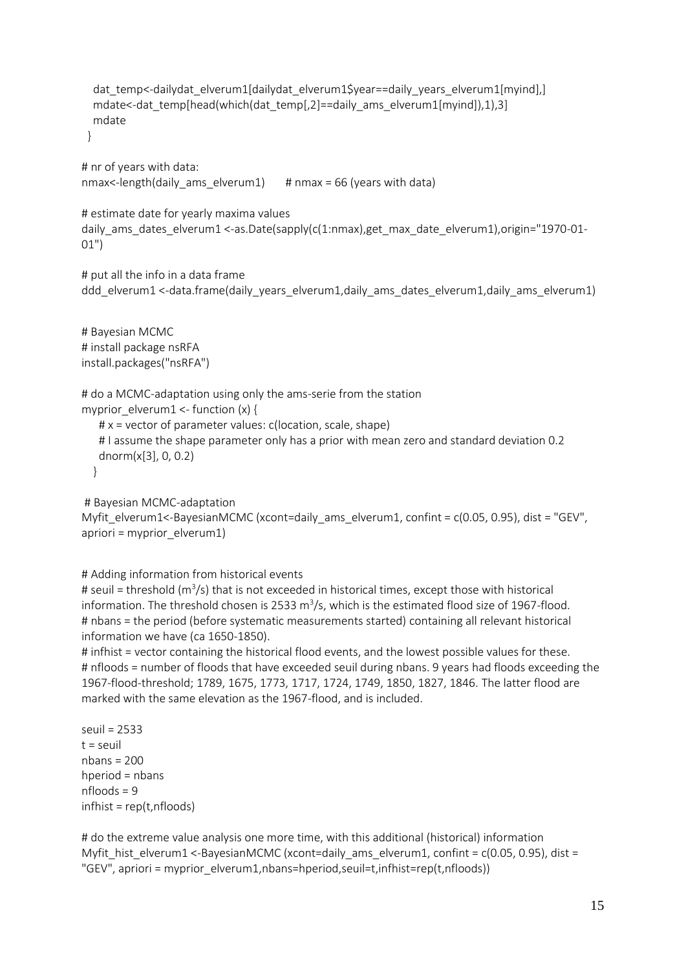```
dat temp<-dailydat elverum1[dailydat elverum1$year==daily years elverum1[myind],]
mdate<-dat_temp[head(which(dat_temp[,2]==daily_ams_elverum1[myind]),1),3]
 mdate
 }
```
# nr of years with data: nmax<-length(daily\_ams\_elverum1) # nmax = 66 (years with data)

# estimate date for yearly maxima values daily\_ams\_dates\_elverum1 <-as.Date(sapply(c(1:nmax),get\_max\_date\_elverum1),origin="1970-01- 01")

# put all the info in a data frame ddd elverum1 <-data.frame(daily years elverum1,daily ams dates elverum1,daily ams elverum1)

# Bayesian MCMC # install package nsRFA install.packages("nsRFA")

# do a MCMC-adaptation using only the ams-serie from the station

myprior  $e$ lverum1 <- function (x) {

 $# x =$  vector of parameter values: c(location, scale, shape) # I assume the shape parameter only has a prior with mean zero and standard deviation 0.2 dnorm(x[3], 0, 0.2) }

# Bayesian MCMC-adaptation

Myfit\_elverum1<-BayesianMCMC (xcont=daily\_ams\_elverum1, confint = c(0.05, 0.95), dist = "GEV", apriori = myprior\_elverum1)

# Adding information from historical events

# seuil = threshold (m<sup>3</sup>/s) that is not exceeded in historical times, except those with historical information. The threshold chosen is 2533 m<sup>3</sup>/s, which is the estimated flood size of 1967-flood. # nbans = the period (before systematic measurements started) containing all relevant historical information we have (ca 1650-1850).

# infhist = vector containing the historical flood events, and the lowest possible values for these. # nfloods = number of floods that have exceeded seuil during nbans. 9 years had floods exceeding the 1967-flood-threshold; 1789, 1675, 1773, 1717, 1724, 1749, 1850, 1827, 1846. The latter flood are marked with the same elevation as the 1967-flood, and is included.

seuil = 2533  $t =$  seuil nbans = 200 hperiod = nbans nfloods = 9 infhist = rep(t,nfloods)

# do the extreme value analysis one more time, with this additional (historical) information Myfit hist elverum1 <-BayesianMCMC (xcont=daily ams elverum1, confint =  $c(0.05, 0.95)$ , dist = "GEV", apriori = myprior\_elverum1,nbans=hperiod,seuil=t,infhist=rep(t,nfloods))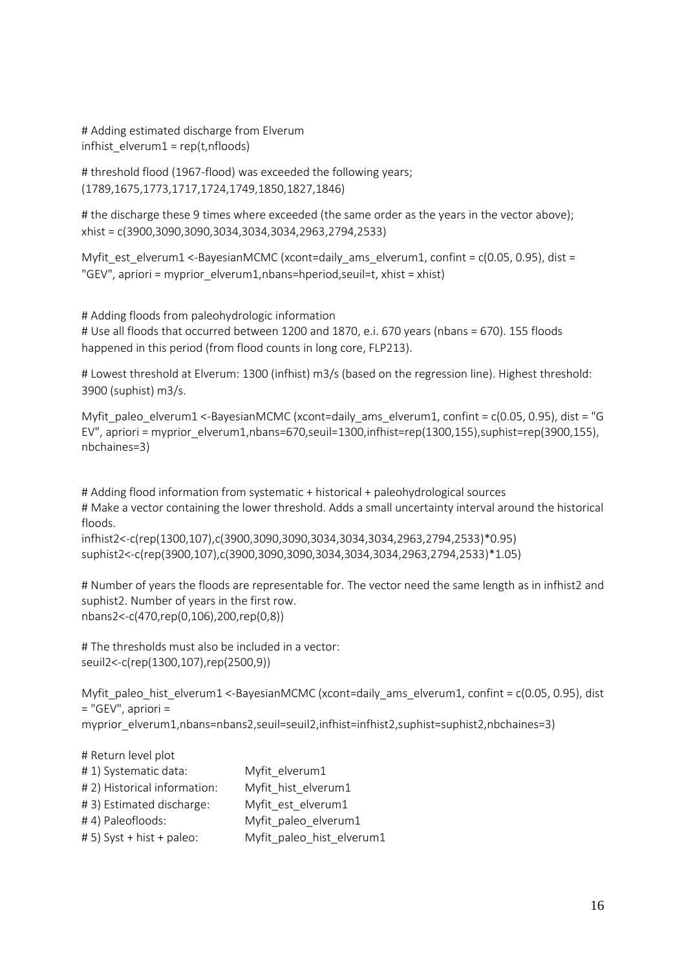# Adding estimated discharge from Elverum  $in$ fhist  $e$ lverum $1 = \text{rep}(t, n \text{f} | \text{oods})$ 

# threshold flood (1967-flood) was exceeded the following years; (1789,1675,1773,1717,1724,1749,1850,1827,1846)

# the discharge these 9 times where exceeded (the same order as the years in the vector above); xhist = c(3900,3090,3090,3034,3034,3034,2963,2794,2533)

Myfit est elverum1 <-BayesianMCMC (xcont=daily ams elverum1, confint =  $c(0.05, 0.95)$ , dist = "GEV", apriori = myprior elverum1,nbans=hperiod,seuil=t, xhist = xhist)

# Adding floods from paleohydrologic information # Use all floods that occurred between 1200 and 1870, e.i. 670 years (nbans = 670). 155 floods happened in this period (from flood counts in long core, FLP213).

# Lowest threshold at Elverum: 1300 (infhist) m3/s (based on the regression line). Highest threshold: 3900 (suphist) m3/s.

Myfit paleo elverum1 <-BayesianMCMC (xcont=daily ams elverum1, confint =  $c(0.05, 0.95)$ , dist = "G EV", apriori = myprior\_elverum1,nbans=670,seuil=1300,infhist=rep(1300,155),suphist=rep(3900,155), nbchaines=3)

# Adding flood information from systematic + historical + paleohydrological sources # Make a vector containing the lower threshold. Adds a small uncertainty interval around the historical floods.

infhist2<-c(rep(1300,107),c(3900,3090,3090,3034,3034,3034,2963,2794,2533)\*0.95) suphist2<-c(rep(3900,107),c(3900,3090,3090,3034,3034,3034,2963,2794,2533)\*1.05)

# Number of years the floods are representable for. The vector need the same length as in infhist2 and suphist2. Number of years in the first row. nbans2<-c(470,rep(0,106),200,rep(0,8))

# The thresholds must also be included in a vector: seuil2<-c(rep(1300,107),rep(2500,9))

Myfit\_paleo\_hist\_elverum1 <-BayesianMCMC (xcont=daily\_ams\_elverum1, confint = c(0.05, 0.95), dist = "GEV", apriori = myprior\_elverum1,nbans=nbans2,seuil=seuil2,infhist=infhist2,suphist=suphist2,nbchaines=3)

| # Return level plot          |                           |
|------------------------------|---------------------------|
| #1) Systematic data:         | Myfit elverum1            |
| # 2) Historical information: | Myfit hist elverum1       |
| #3) Estimated discharge:     | Myfit est elverum1        |
| #4) Paleofloods:             | Myfit paleo elverum1      |
| # 5) Syst + hist + paleo:    | Myfit paleo hist elverum1 |
|                              |                           |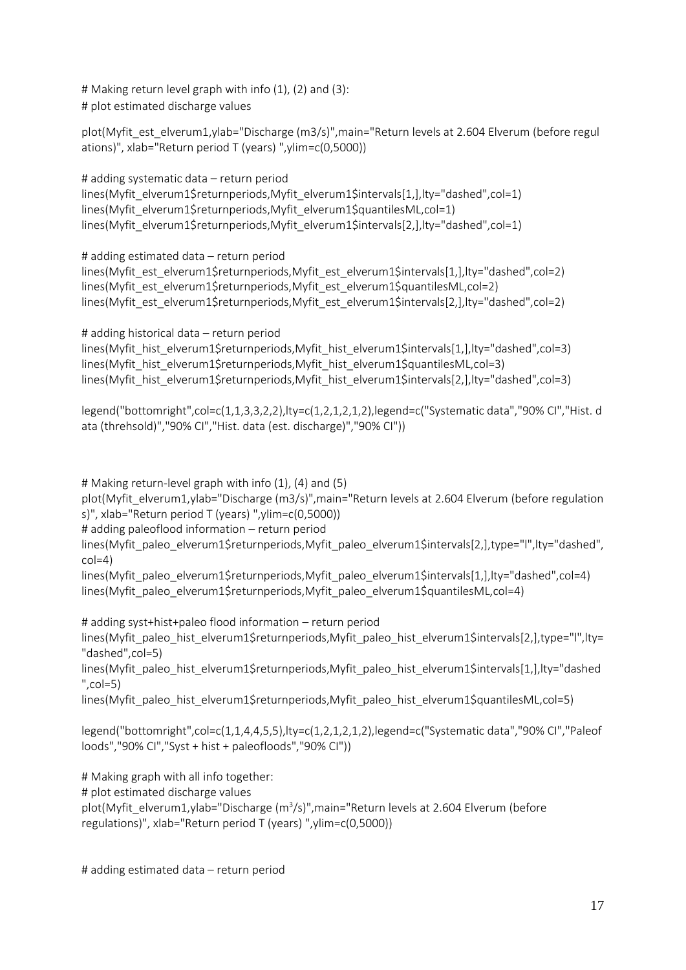# Making return level graph with info (1), (2) and (3): # plot estimated discharge values

plot(Myfit\_est\_elverum1,ylab="Discharge (m3/s)",main="Return levels at 2.604 Elverum (before regul ations)", xlab="Return period T (years) ",ylim=c(0,5000))

# adding systematic data – return period lines(Myfit\_elverum1\$returnperiods,Myfit\_elverum1\$intervals[1,],lty="dashed",col=1) lines(Myfit\_elverum1\$returnperiods,Myfit\_elverum1\$quantilesML.col=1) lines(Myfit\_elverum1\$returnperiods,Myfit\_elverum1\$intervals[2,],lty="dashed",col=1)

# adding estimated data – return period lines(Myfit\_est\_elverum1\$returnperiods,Myfit\_est\_elverum1\$intervals[1,],lty="dashed",col=2) lines(Myfit\_est\_elverum1\$returnperiods,Myfit\_est\_elverum1\$quantilesML,col=2) lines(Myfit\_est\_elverum1\$returnperiods,Myfit\_est\_elverum1\$intervals[2,],lty="dashed",col=2)

# adding historical data – return period lines(Myfit\_hist\_elverum1\$returnperiods,Myfit\_hist\_elverum1\$intervals[1,],lty="dashed",col=3) lines(Myfit\_hist\_elverum1\$returnperiods,Myfit\_hist\_elverum1\$quantilesML,col=3) lines(Myfit\_hist\_elverum1\$returnperiods,Myfit\_hist\_elverum1\$intervals[2,],lty="dashed",col=3)

legend("bottomright",col=c(1,1,3,3,2,2),lty=c(1,2,1,2,1,2),legend=c("Systematic data","90% CI","Hist. d ata (threhsold)","90% CI","Hist. data (est. discharge)","90% CI"))

# Making return-level graph with info (1), (4) and (5) plot(Myfit\_elverum1,ylab="Discharge (m3/s)",main="Return levels at 2.604 Elverum (before regulation s)", xlab="Return period T (years) ",ylim=c(0,5000)) # adding paleoflood information – return period

lines(Myfit\_paleo\_elverum1\$returnperiods,Myfit\_paleo\_elverum1\$intervals[2,],type="l",lty="dashed",  $col=4$ )

lines(Myfit\_paleo\_elverum1\$returnperiods,Myfit\_paleo\_elverum1\$intervals[1,],lty="dashed",col=4) lines(Myfit\_paleo\_elverum1\$returnperiods,Myfit\_paleo\_elverum1\$quantilesML.col=4)

# adding syst+hist+paleo flood information – return period

lines(Myfit\_paleo\_hist\_elverum1\$returnperiods,Myfit\_paleo\_hist\_elverum1\$intervals[2,],type="l",lty= "dashed",col=5)

lines(Myfit\_paleo\_hist\_elverum1\$returnperiods,Myfit\_paleo\_hist\_elverum1\$intervals[1,],lty="dashed  $"$ ,col=5)

lines(Myfit\_paleo\_hist\_elverum1\$returnperiods,Myfit\_paleo\_hist\_elverum1\$quantilesML,col=5)

legend("bottomright",col=c(1,1,4,4,5,5),lty=c(1,2,1,2,1,2),legend=c("Systematic data","90% CI","Paleof loods","90% CI","Syst + hist + paleofloods","90% CI"))

# Making graph with all info together:

# plot estimated discharge values

plot(Myfit\_elverum1,ylab="Discharge (m<sup>3</sup>/s)",main="Return levels at 2.604 Elverum (before regulations)", xlab="Return period T (years) ",ylim=c(0,5000))

# adding estimated data – return period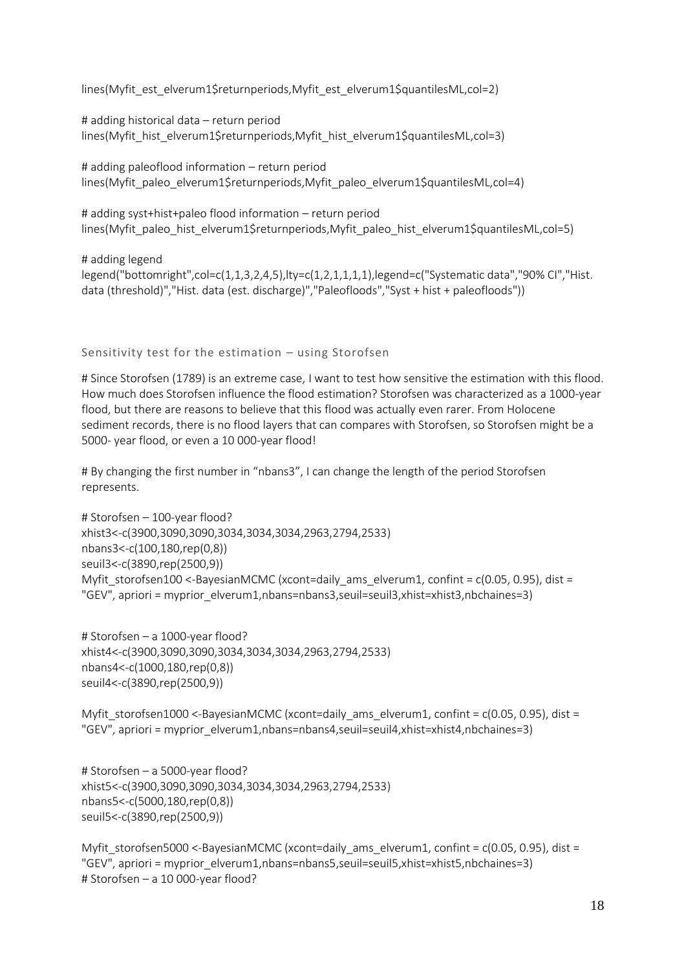lines(Myfit\_est\_elverum1\$returnperiods,Myfit\_est\_elverum1\$quantilesML,col=2)

# adding historical data – return period lines(Myfit\_hist\_elverum1\$returnperiods,Myfit\_hist\_elverum1\$quantilesML,col=3)

# adding paleoflood information – return period lines(Myfit\_paleo\_elverum1\$returnperiods,Myfit\_paleo\_elverum1\$quantilesML,col=4)

# adding syst+hist+paleo flood information – return period lines(Myfit\_paleo\_hist\_elverum1\$returnperiods,Myfit\_paleo\_hist\_elverum1\$quantilesML,col=5)

# adding legend legend("bottomright",col=c(1,1,3,2,4,5),lty=c(1,2,1,1,1,1),legend=c("Systematic data","90% CI","Hist. data (threshold)","Hist. data (est. discharge)","Paleofloods","Syst + hist + paleofloods"))

#### Sensitivity test for the estimation – using Storofsen

# Since Storofsen (1789) is an extreme case, I want to test how sensitive the estimation with this flood. How much does Storofsen influence the flood estimation? Storofsen was characterized as a 1000-year flood, but there are reasons to believe that this flood was actually even rarer. From Holocene sediment records, there is no flood layers that can compares with Storofsen, so Storofsen might be a 5000- year flood, or even a 10 000-year flood!

# By changing the first number in "nbans3", I can change the length of the period Storofsen represents.

```
# Storofsen – 100-year flood?
xhist3<-c(3900,3090,3090,3034,3034,3034,2963,2794,2533)
nbans3<-c(100,180,rep(0,8))
seuil3<-c(3890,rep(2500,9))
Myfit storofsen100 <-BayesianMCMC (xcont=daily ams elverum1, confint = c(0.05, 0.95), dist =
"GEV", apriori = myprior_elverum1,nbans=nbans3,seuil=seuil3,xhist=xhist3,nbchaines=3)
```

```
# Storofsen – a 1000-year flood?
xhist4<-c(3900,3090,3090,3034,3034,3034,2963,2794,2533)
nbans4<-c(1000,180,rep(0,8))
seuil4<-c(3890,rep(2500,9))
```
Myfit\_storofsen1000 <-BayesianMCMC (xcont=daily\_ams\_elverum1, confint = c(0.05, 0.95), dist = "GEV", apriori = myprior\_elverum1,nbans=nbans4,seuil=seuil4,xhist=xhist4,nbchaines=3)

```
# Storofsen – a 5000-year flood?
xhist5<-c(3900,3090,3090,3034,3034,3034,2963,2794,2533)
nbans5<-c(5000,180,rep(0,8))
seuil5<-c(3890,rep(2500,9))
```

```
Myfit_storofsen5000 <-BayesianMCMC (xcont=daily_ams_elverum1, confint = c(0.05, 0.95), dist =
"GEV", apriori = myprior_elverum1,nbans=nbans5,seuil=seuil5,xhist=xhist5,nbchaines=3)
# Storofsen – a 10 000-year flood?
```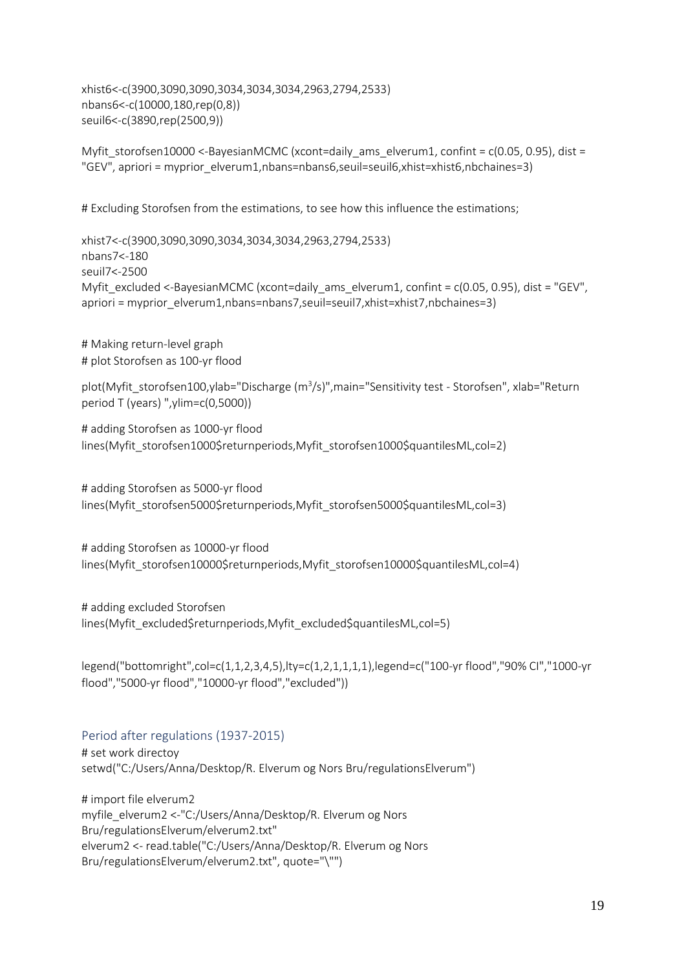xhist6<-c(3900,3090,3090,3034,3034,3034,2963,2794,2533) nbans6<-c(10000,180,rep(0,8)) seuil6<-c(3890,rep(2500,9))

Myfit storofsen10000 <-BayesianMCMC (xcont=daily ams elverum1, confint =  $c(0.05, 0.95)$ , dist = "GEV", apriori = myprior\_elverum1,nbans=nbans6,seuil=seuil6,xhist=xhist6,nbchaines=3)

# Excluding Storofsen from the estimations, to see how this influence the estimations;

xhist7<-c(3900,3090,3090,3034,3034,3034,2963,2794,2533) nbans7<-180 seuil7<-2500 Myfit\_excluded <-BayesianMCMC (xcont=daily\_ams\_elverum1, confint = c(0.05, 0.95), dist = "GEV", apriori = myprior\_elverum1,nbans=nbans7,seuil=seuil7,xhist=xhist7,nbchaines=3)

# Making return-level graph # plot Storofsen as 100-yr flood

plot(Myfit\_storofsen100,ylab="Discharge (m<sup>3</sup>/s)",main="Sensitivity test - Storofsen", xlab="Return period T (years) ",ylim=c(0,5000))

# adding Storofsen as 1000-yr flood lines(Myfit\_storofsen1000\$returnperiods,Myfit\_storofsen1000\$quantilesML,col=2)

# adding Storofsen as 5000-yr flood lines(Myfit\_storofsen5000\$returnperiods,Myfit\_storofsen5000\$quantilesML,col=3)

# adding Storofsen as 10000-yr flood lines(Myfit\_storofsen10000\$returnperiods,Myfit\_storofsen10000\$quantilesML,col=4)

# adding excluded Storofsen lines(Myfit\_excluded\$returnperiods,Myfit\_excluded\$quantilesML,col=5)

legend("bottomright",col=c(1,1,2,3,4,5),lty=c(1,2,1,1,1,1),legend=c("100-yr flood","90% CI","1000-yr flood","5000-yr flood","10000-yr flood","excluded"))

### Period after regulations (1937-2015)

# set work directoy setwd("C:/Users/Anna/Desktop/R. Elverum og Nors Bru/regulationsElverum")

# import file elverum2 myfile\_elverum2 <-"C:/Users/Anna/Desktop/R. Elverum og Nors Bru/regulationsElverum/elverum2.txt" elverum2 <- read.table("C:/Users/Anna/Desktop/R. Elverum og Nors Bru/regulationsElverum/elverum2.txt", quote="\"")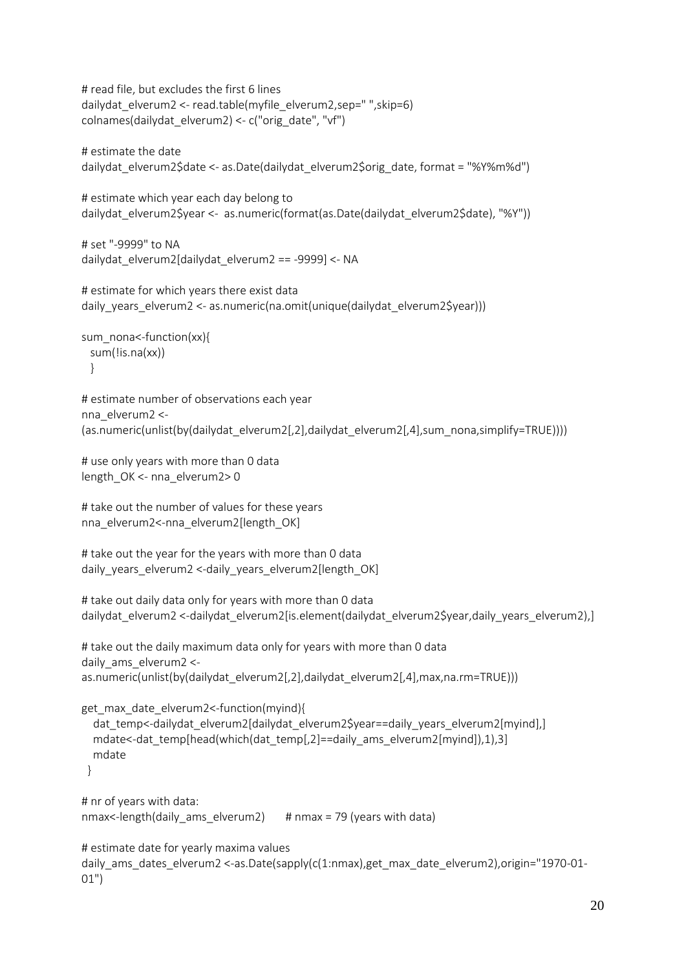```
# read file, but excludes the first 6 lines
dailydat_elverum2 <- read.table(myfile_elverum2,sep=" ",skip=6)
colnames(dailydat_elverum2) <- c("orig_date", "vf")
```

```
# estimate the date
dailydat_elverum2$date <- as.Date(dailydat_elverum2$orig_date, format = "%Y%m%d")
```

```
# estimate which year each day belong to
dailydat elverum2$year <- as.numeric(format(as.Date(dailydat elverum2$date), "%Y"))
```

```
# set "-9999" to NA
dailydat_elverum2[dailydat_elverum2 == -9999] <- NA
```

```
# estimate for which years there exist data
daily_years_elverum2 <- as.numeric(na.omit(unique(dailydat_elverum2$year)))
```

```
sum_nona<-function(xx){
  sum(!is.na(xx))
  }
```
# estimate number of observations each year nna\_elverum2 <- (as.numeric(unlist(by(dailydat\_elverum2[,2],dailydat\_elverum2[,4],sum\_nona,simplify=TRUE))))

```
# use only years with more than 0 data
length_OK <- nna_elverum2> 0
```

```
# take out the number of values for these years
nna elverum2<-nna elverum2[length_OK]
```

```
# take out the year for the years with more than 0 data
daily_years_elverum2 <-daily_years_elverum2[length_OK]
```

```
# take out daily data only for years with more than 0 data
dailydat elverum2 <-dailydat elverum2[is.element(dailydat elverum2$year,daily years elverum2),]
```

```
# take out the daily maximum data only for years with more than 0 data
daily ams elverum2 <-
as.numeric(unlist(by(dailydat_elverum2[,2],dailydat_elverum2[,4],max,na.rm=TRUE)))
```

```
get max date elverum2<-function(myind){
```

```
dat temp<-dailydat elverum2[dailydat elverum2$year==daily years elverum2[myind],]
mdate<-dat_temp[head(which(dat_temp[,2]==daily_ams_elverum2[myind]),1),3]
 mdate
```

```
 }
```

```
# nr of years with data:
nmax<-length(daily ams elverum2) # nmax = 79 (years with data)
```

```
# estimate date for yearly maxima values
daily ams dates elverum2 <-as.Date(sapply(c(1:nmax),get max date elverum2),origin="1970-01-
01")
```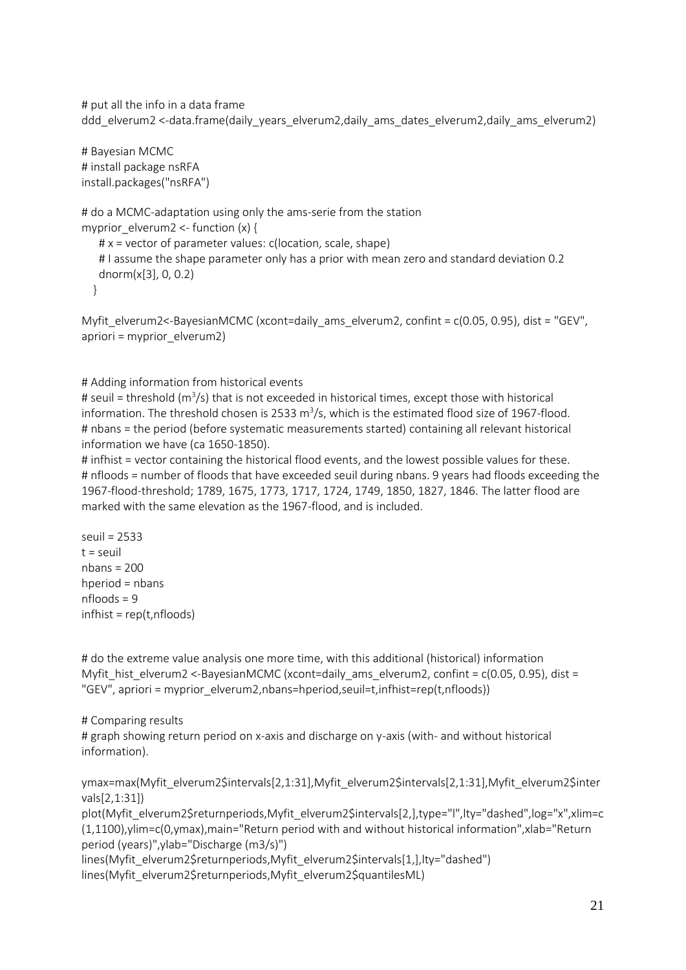# put all the info in a data frame ddd elverum2 <-data.frame(daily years elverum2,daily ams dates elverum2,daily ams elverum2)

# Bayesian MCMC # install package nsRFA install.packages("nsRFA")

```
# do a MCMC-adaptation using only the ams-serie from the station
myprior elverum2 <- function (x) {
```
 # x = vector of parameter values: c(location, scale, shape) # I assume the shape parameter only has a prior with mean zero and standard deviation 0.2 dnorm(x[3], 0, 0.2)

}

```
Myfit_elverum2<-BayesianMCMC (xcont=daily_ams_elverum2, confint = c(0.05, 0.95), dist = "GEV", 
apriori = myprior_elverum2)
```
#### # Adding information from historical events

# seuil = threshold (m<sup>3</sup>/s) that is not exceeded in historical times, except those with historical information. The threshold chosen is 2533 m<sup>3</sup>/s, which is the estimated flood size of 1967-flood. # nbans = the period (before systematic measurements started) containing all relevant historical information we have (ca 1650-1850).

# infhist = vector containing the historical flood events, and the lowest possible values for these. # nfloods = number of floods that have exceeded seuil during nbans. 9 years had floods exceeding the 1967-flood-threshold; 1789, 1675, 1773, 1717, 1724, 1749, 1850, 1827, 1846. The latter flood are marked with the same elevation as the 1967-flood, and is included.

seuil = 2533  $t =$  seuil nbans = 200 hperiod = nbans nfloods = 9 infhist = rep(t,nfloods)

# do the extreme value analysis one more time, with this additional (historical) information Myfit hist elverum2 <-BayesianMCMC (xcont=daily ams elverum2, confint =  $c(0.05, 0.95)$ , dist = "GEV", apriori = myprior\_elverum2,nbans=hperiod,seuil=t,infhist=rep(t,nfloods))

#### # Comparing results

# graph showing return period on x-axis and discharge on y-axis (with- and without historical information).

ymax=max(Myfit\_elverum2\$intervals[2,1:31],Myfit\_elverum2\$intervals[2,1:31],Myfit\_elverum2\$inter vals[2,1:31])

plot(Myfit\_elverum2\$returnperiods,Myfit\_elverum2\$intervals[2,],type="l",lty="dashed",log="x",xlim=c (1,1100),ylim=c(0,ymax),main="Return period with and without historical information",xlab="Return period (years)",ylab="Discharge (m3/s)")

lines(Myfit\_elverum2\$returnperiods,Myfit\_elverum2\$intervals[1,],lty="dashed") lines(Myfit\_elverum2\$returnperiods,Myfit\_elverum2\$quantilesML)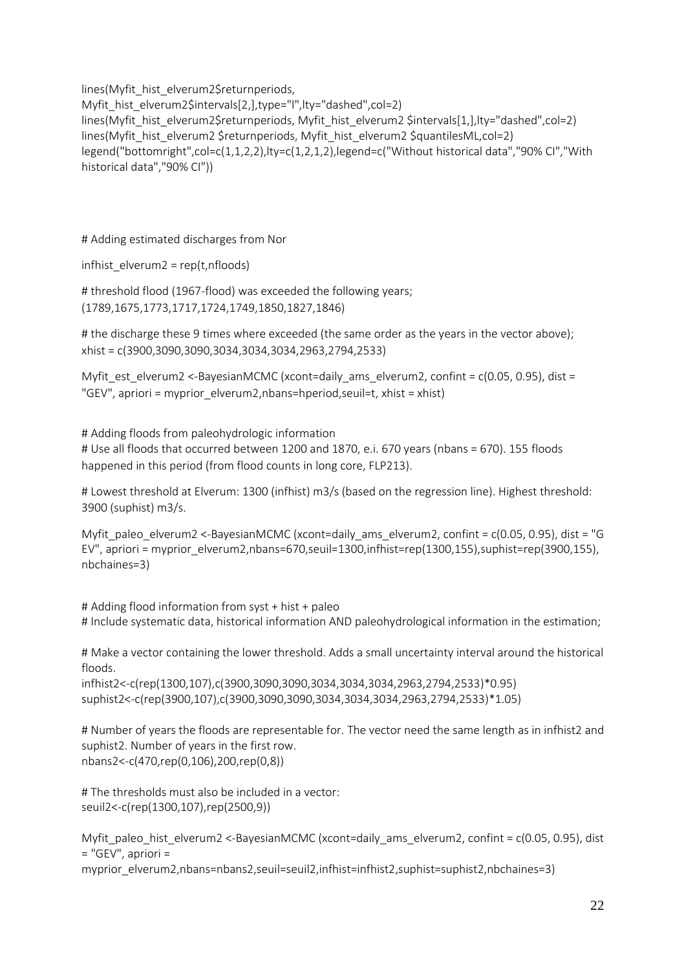lines(Myfit\_hist\_elverum2\$returnperiods,

Myfit hist elverum2\$intervals[2,],type="l",lty="dashed",col=2) lines(Myfit\_hist\_elverum2\$returnperiods, Myfit\_hist\_elverum2 \$intervals[1,],lty="dashed",col=2) lines(Myfit\_hist\_elverum2 \$returnperiods, Myfit\_hist\_elverum2 \$quantilesML,col=2) legend("bottomright",col=c(1,1,2,2),lty=c(1,2,1,2),legend=c("Without historical data","90% CI","With historical data","90% CI"))

# Adding estimated discharges from Nor

infhist\_elverum2 = rep(t,nfloods)

# threshold flood (1967-flood) was exceeded the following years; (1789,1675,1773,1717,1724,1749,1850,1827,1846)

# the discharge these 9 times where exceeded (the same order as the years in the vector above); xhist = c(3900,3090,3090,3034,3034,3034,2963,2794,2533)

Myfit\_est\_elverum2 <-BayesianMCMC (xcont=daily\_ams\_elverum2, confint = c(0.05, 0.95), dist = "GEV", apriori = myprior elverum2,nbans=hperiod,seuil=t, xhist = xhist)

# Adding floods from paleohydrologic information # Use all floods that occurred between 1200 and 1870, e.i. 670 years (nbans = 670). 155 floods happened in this period (from flood counts in long core, FLP213).

# Lowest threshold at Elverum: 1300 (infhist) m3/s (based on the regression line). Highest threshold: 3900 (suphist) m3/s.

Myfit paleo elverum2 <-BayesianMCMC (xcont=daily ams elverum2, confint =  $c(0.05, 0.95)$ , dist = "G EV", apriori = myprior\_elverum2,nbans=670,seuil=1300,infhist=rep(1300,155),suphist=rep(3900,155), nbchaines=3)

# Adding flood information from syst + hist + paleo # Include systematic data, historical information AND paleohydrological information in the estimation;

# Make a vector containing the lower threshold. Adds a small uncertainty interval around the historical floods.

infhist2<-c(rep(1300,107),c(3900,3090,3090,3034,3034,3034,2963,2794,2533)\*0.95) suphist2<-c(rep(3900,107),c(3900,3090,3090,3034,3034,3034,2963,2794,2533)\*1.05)

# Number of years the floods are representable for. The vector need the same length as in infhist2 and suphist2. Number of years in the first row. nbans2<-c(470,rep(0,106),200,rep(0,8))

# The thresholds must also be included in a vector: seuil2<-c(rep(1300,107),rep(2500,9))

Myfit paleo hist elverum2 <-BayesianMCMC (xcont=daily ams elverum2, confint =  $c(0.05, 0.95)$ , dist = "GEV", apriori =

myprior\_elverum2,nbans=nbans2,seuil=seuil2,infhist=infhist2,suphist=suphist2,nbchaines=3)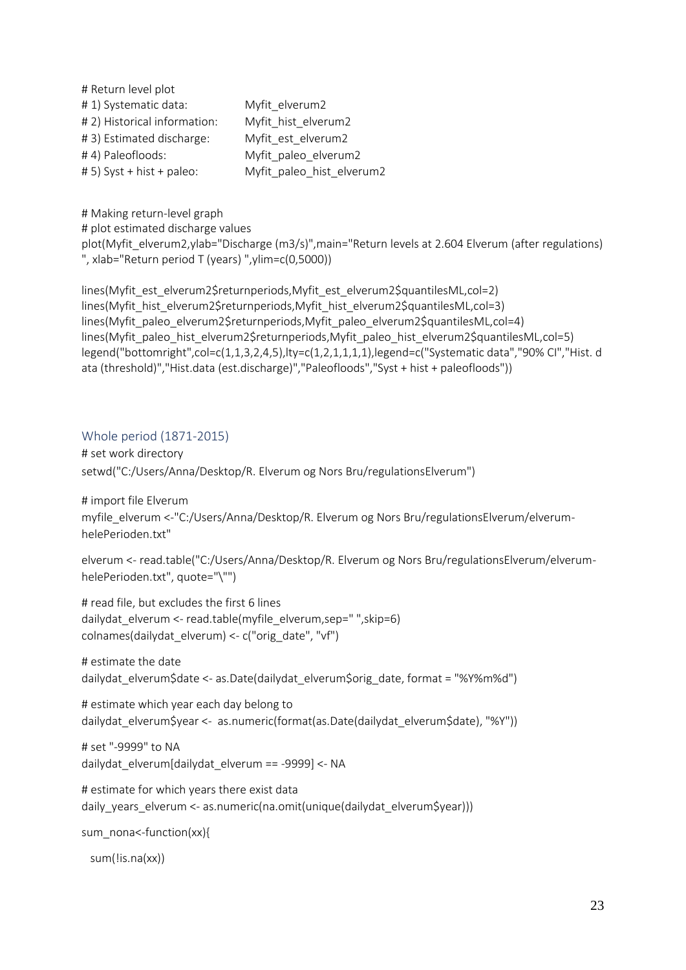| # Return level plot          |                           |
|------------------------------|---------------------------|
| #1) Systematic data:         | Myfit_elverum2            |
| # 2) Historical information: | Myfit hist elverum2       |
| #3) Estimated discharge:     | Myfit est elverum2        |
| #4) Paleofloods:             | Myfit paleo elverum2      |
| # 5) Syst + hist + paleo:    | Myfit_paleo_hist_elverum2 |

# Making return-level graph # plot estimated discharge values

plot(Myfit\_elverum2,ylab="Discharge (m3/s)",main="Return levels at 2.604 Elverum (after regulations) ", xlab="Return period T (years) ",ylim=c(0,5000))

lines(Myfit\_est\_elverum2\$returnperiods,Myfit\_est\_elverum2\$quantilesML,col=2) lines(Myfit\_hist\_elverum2\$returnperiods,Myfit\_hist\_elverum2\$quantilesML,col=3) lines(Myfit\_paleo\_elverum2\$returnperiods,Myfit\_paleo\_elverum2\$quantilesML,col=4) lines(Myfit\_paleo\_hist\_elverum2\$returnperiods,Myfit\_paleo\_hist\_elverum2\$quantilesML,col=5) legend("bottomright",col=c(1,1,3,2,4,5),lty=c(1,2,1,1,1,1),legend=c("Systematic data","90% CI","Hist. d ata (threshold)","Hist.data (est.discharge)","Paleofloods","Syst + hist + paleofloods"))

## Whole period (1871-2015)

# set work directory setwd("C:/Users/Anna/Desktop/R. Elverum og Nors Bru/regulationsElverum")

# import file Elverum myfile\_elverum <-"C:/Users/Anna/Desktop/R. Elverum og Nors Bru/regulationsElverum/elverumhelePerioden.txt"

elverum <- read.table("C:/Users/Anna/Desktop/R. Elverum og Nors Bru/regulationsElverum/elverumhelePerioden.txt", quote="\"")

# read file, but excludes the first 6 lines dailydat\_elverum <- read.table(myfile\_elverum,sep=" ",skip=6) colnames(dailydat\_elverum) <- c("orig\_date", "vf")

# estimate the date dailydat\_elverum\$date <- as.Date(dailydat\_elverum\$orig\_date, format = "%Y%m%d")

# estimate which year each day belong to dailydat\_elverum\$year <- as.numeric(format(as.Date(dailydat\_elverum\$date), "%Y"))

# set "-9999" to NA dailydat\_elverum[dailydat\_elverum == -9999] <- NA

# estimate for which years there exist data daily years elverum <- as.numeric(na.omit(unique(dailydat elverum\$year)))

sum\_nona<-function(xx){

sum(!is.na(xx))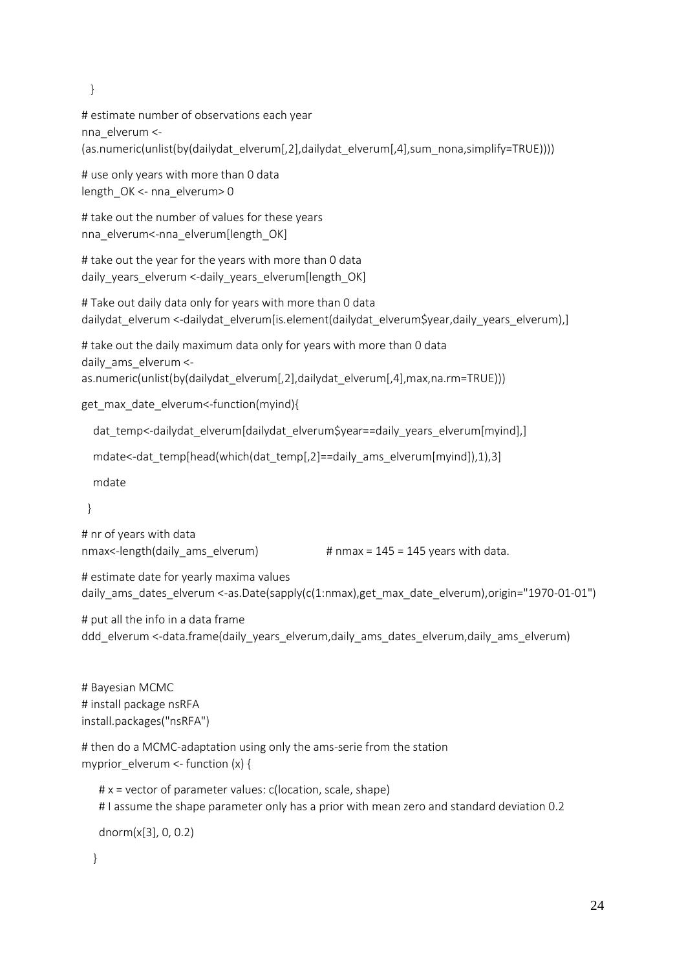}

# estimate number of observations each year nna\_elverum <- (as.numeric(unlist(by(dailydat\_elverum[,2],dailydat\_elverum[,4],sum\_nona,simplify=TRUE))))

# use only years with more than 0 data length\_OK <- nna\_elverum> 0

# take out the number of values for these years nna elverum<-nna elverum[length\_OK]

# take out the year for the years with more than 0 data daily years elverum <-daily years elverum[length\_OK]

# Take out daily data only for years with more than 0 data dailydat elverum <-dailydat elverum[is.element(dailydat elverum\$year,daily years elverum),]

# take out the daily maximum data only for years with more than 0 data daily ams elverum <as.numeric(unlist(by(dailydat\_elverum[,2],dailydat\_elverum[,4],max,na.rm=TRUE)))

get max date elverum<-function(myind){

dat temp<-dailydat elverum[dailydat elverum\$year==daily years elverum[myind],]

```
 mdate<-dat_temp[head(which(dat_temp[,2]==daily_ams_elverum[myind]),1),3]
```
mdate

}

# nr of years with data

nmax <-length(daily ams elverum)  $#$  nmax = 145 = 145 years with data.

# estimate date for yearly maxima values daily\_ams\_dates\_elverum <-as.Date(sapply(c(1:nmax),get\_max\_date\_elverum),origin="1970-01-01")

# put all the info in a data frame ddd elverum <-data.frame(daily years elverum,daily ams dates elverum,daily ams elverum)

# Bayesian MCMC # install package nsRFA install.packages("nsRFA")

```
# then do a MCMC-adaptation using only the ams-serie from the station
myprior elverum <- function (x) {
```
 # x = vector of parameter values: c(location, scale, shape) # I assume the shape parameter only has a prior with mean zero and standard deviation 0.2

dnorm(x[3], 0, 0.2)

}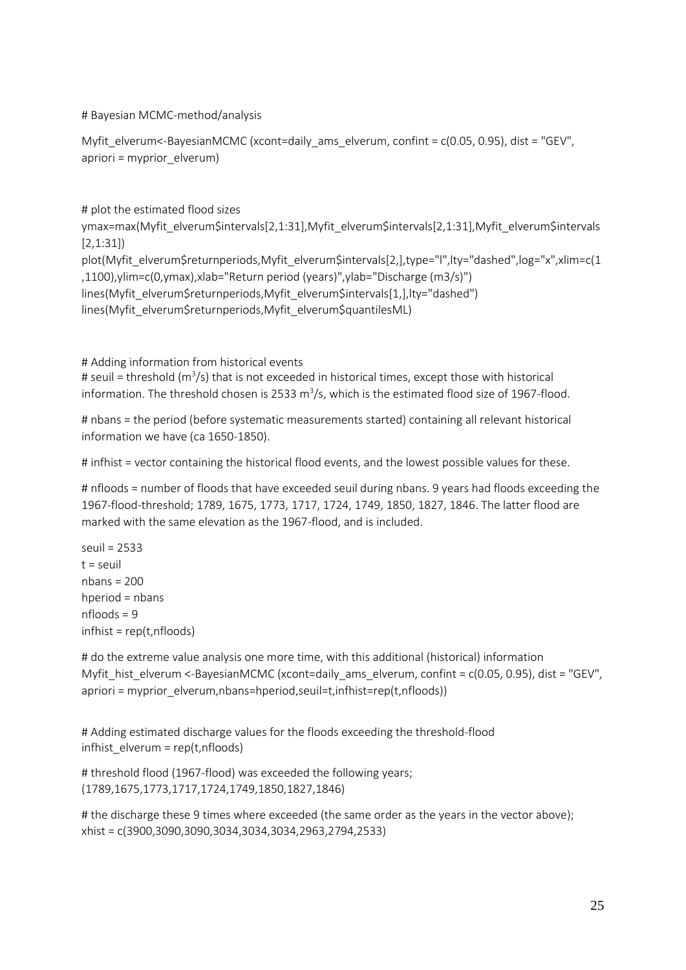# Bayesian MCMC-method/analysis

Myfit\_elverum<-BayesianMCMC (xcont=daily\_ams\_elverum, confint = c(0.05, 0.95), dist = "GEV", apriori = myprior\_elverum)

# plot the estimated flood sizes ymax=max(Myfit\_elverum\$intervals[2,1:31],Myfit\_elverum\$intervals[2,1:31],Myfit\_elverum\$intervals [2,1:31]) plot(Myfit\_elverum\$returnperiods,Myfit\_elverum\$intervals[2,],type="l",lty="dashed",log="x",xlim=c(1 ,1100),ylim=c(0,ymax),xlab="Return period (years)",ylab="Discharge (m3/s)") lines(Myfit\_elverum\$returnperiods,Myfit\_elverum\$intervals[1,],lty="dashed") lines(Myfit\_elverum\$returnperiods,Myfit\_elverum\$quantilesML)

# Adding information from historical events

# seuil = threshold (m<sup>3</sup>/s) that is not exceeded in historical times, except those with historical information. The threshold chosen is 2533 m<sup>3</sup>/s, which is the estimated flood size of 1967-flood.

# nbans = the period (before systematic measurements started) containing all relevant historical information we have (ca 1650-1850).

# infhist = vector containing the historical flood events, and the lowest possible values for these.

# nfloods = number of floods that have exceeded seuil during nbans. 9 years had floods exceeding the 1967-flood-threshold; 1789, 1675, 1773, 1717, 1724, 1749, 1850, 1827, 1846. The latter flood are marked with the same elevation as the 1967-flood, and is included.

seuil = 2533  $t =$ seuil nbans = 200 hperiod = nbans  $nf$ loods = 9  $in$ fhist = rep(t,nfloods)

# do the extreme value analysis one more time, with this additional (historical) information Myfit hist elverum <-BayesianMCMC (xcont=daily ams elverum, confint = c(0.05, 0.95), dist = "GEV", apriori = myprior\_elverum,nbans=hperiod,seuil=t,infhist=rep(t,nfloods))

# Adding estimated discharge values for the floods exceeding the threshold-flood infhist\_elverum = rep(t,nfloods)

# threshold flood (1967-flood) was exceeded the following years; (1789,1675,1773,1717,1724,1749,1850,1827,1846)

# the discharge these 9 times where exceeded (the same order as the years in the vector above); xhist = c(3900,3090,3090,3034,3034,3034,2963,2794,2533)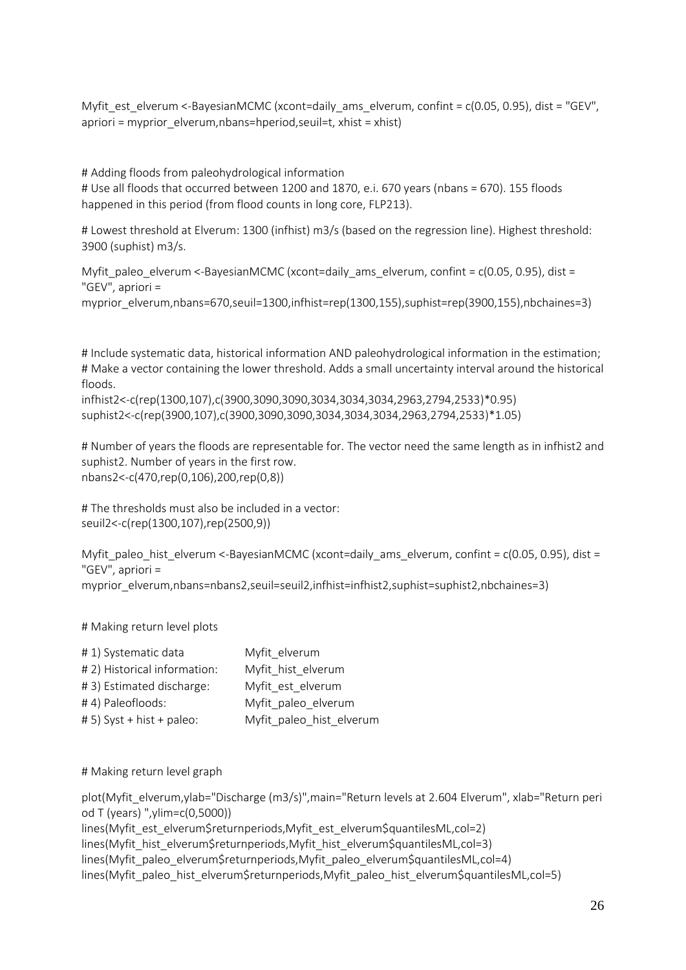Myfit est elverum <-BayesianMCMC (xcont=daily ams elverum, confint =  $c(0.05, 0.95)$ , dist = "GEV", apriori = myprior elverum,nbans=hperiod, seuil=t, xhist = xhist)

# Adding floods from paleohydrological information # Use all floods that occurred between 1200 and 1870, e.i. 670 years (nbans = 670). 155 floods happened in this period (from flood counts in long core, FLP213).

# Lowest threshold at Elverum: 1300 (infhist) m3/s (based on the regression line). Highest threshold: 3900 (suphist) m3/s.

Myfit paleo elverum <-BayesianMCMC (xcont=daily ams elverum, confint = c(0.05, 0.95), dist = "GEV", apriori = myprior\_elverum,nbans=670,seuil=1300,infhist=rep(1300,155),suphist=rep(3900,155),nbchaines=3)

# Include systematic data, historical information AND paleohydrological information in the estimation; # Make a vector containing the lower threshold. Adds a small uncertainty interval around the historical floods.

infhist2<-c(rep(1300,107),c(3900,3090,3090,3034,3034,3034,2963,2794,2533)\*0.95) suphist2<-c(rep(3900,107),c(3900,3090,3090,3034,3034,3034,2963,2794,2533)\*1.05)

# Number of years the floods are representable for. The vector need the same length as in infhist2 and suphist2. Number of years in the first row. nbans2<-c(470,rep(0,106),200,rep(0,8))

# The thresholds must also be included in a vector: seuil2<-c(rep(1300,107),rep(2500,9))

Myfit\_paleo\_hist\_elverum <-BayesianMCMC (xcont=daily\_ams\_elverum, confint = c(0.05, 0.95), dist = "GEV", apriori = myprior\_elverum,nbans=nbans2,seuil=seuil2,infhist=infhist2,suphist=suphist2,nbchaines=3)

# Making return level plots

| #1) Systematic data          | Myfit elverum            |
|------------------------------|--------------------------|
| # 2) Historical information: | Myfit hist elverum       |
| #3) Estimated discharge:     | Myfit est elverum        |
| #4) Paleofloods:             | Myfit paleo elverum      |
| # 5) Syst + hist + paleo:    | Myfit_paleo_hist_elverum |

# Making return level graph

plot(Myfit\_elverum,ylab="Discharge (m3/s)",main="Return levels at 2.604 Elverum", xlab="Return peri od T (years) ",ylim=c(0,5000))

lines(Myfit\_est\_elverum\$returnperiods,Myfit\_est\_elverum\$quantilesML,col=2) lines(Myfit\_hist\_elverum\$returnperiods,Myfit\_hist\_elverum\$quantilesML,col=3) lines(Myfit\_paleo\_elverum\$returnperiods,Myfit\_paleo\_elverum\$quantilesML,col=4) lines(Myfit\_paleo\_hist\_elverum\$returnperiods,Myfit\_paleo\_hist\_elverum\$quantilesML,col=5)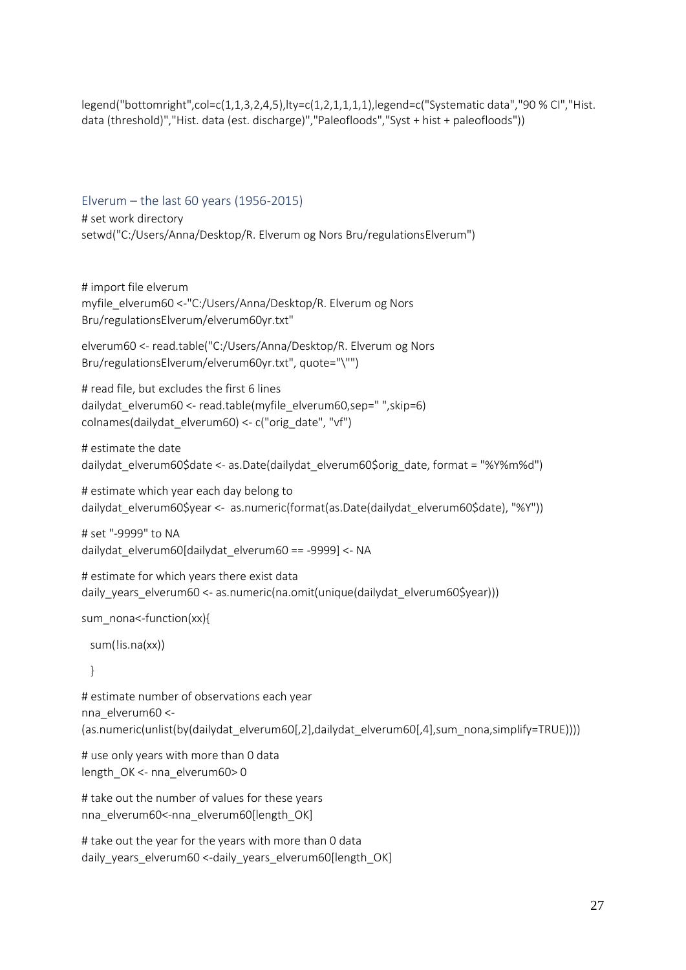legend("bottomright",col=c(1,1,3,2,4,5),lty=c(1,2,1,1,1,1),legend=c("Systematic data","90 % CI","Hist. data (threshold)","Hist. data (est. discharge)","Paleofloods","Syst + hist + paleofloods"))

Elverum – the last 60 years (1956-2015) # set work directory setwd("C:/Users/Anna/Desktop/R. Elverum og Nors Bru/regulationsElverum")

# import file elverum myfile\_elverum60 <-"C:/Users/Anna/Desktop/R. Elverum og Nors Bru/regulationsElverum/elverum60yr.txt"

elverum60 <- read.table("C:/Users/Anna/Desktop/R. Elverum og Nors Bru/regulationsElverum/elverum60yr.txt", quote="\"")

# read file, but excludes the first 6 lines dailydat\_elverum60 <- read.table(myfile\_elverum60,sep=" ",skip=6) colnames(dailydat\_elverum60) <- c("orig\_date", "vf")

# estimate the date dailydat\_elverum60\$date <- as.Date(dailydat\_elverum60\$orig\_date, format = "%Y%m%d")

# estimate which year each day belong to dailydat\_elverum60\$year <- as.numeric(format(as.Date(dailydat\_elverum60\$date), "%Y"))

```
# set "-9999" to NA
dailydat_elverum60[dailydat_elverum60 == -9999] <- NA
```
# estimate for which years there exist data daily years elverum60 <- as.numeric(na.omit(unique(dailydat elverum60\$year)))

```
sum_nona<-function(xx){
```
sum(!is.na(xx))

}

# estimate number of observations each year nna\_elverum60 <- (as.numeric(unlist(by(dailydat\_elverum60[,2],dailydat\_elverum60[,4],sum\_nona,simplify=TRUE))))

# use only years with more than 0 data length\_OK <- nna\_elverum60> 0

# take out the number of values for these years nna elverum60<-nna elverum60[length\_OK]

```
# take out the year for the years with more than 0 data
daily_years_elverum60 <-daily_years_elverum60[length_OK]
```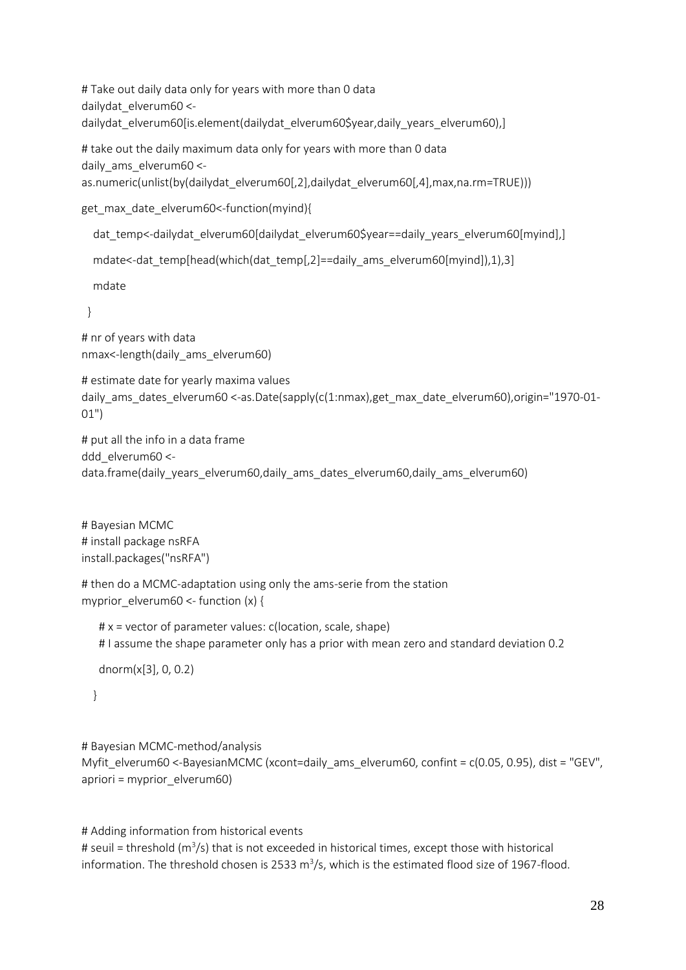# Take out daily data only for years with more than 0 data dailydat\_elverum60 < dailydat elverum60[is.element(dailydat elverum60\$year,daily years elverum60),]

# take out the daily maximum data only for years with more than 0 data daily\_ams\_elverum60 <-

as.numeric(unlist(by(dailydat\_elverum60[,2],dailydat\_elverum60[,4],max,na.rm=TRUE)))

get\_max\_date\_elverum60<-function(myind){

```
dat temp<-dailydat elverum60[dailydat elverum60$year==daily years elverum60[myind],]
```

```
 mdate<-dat_temp[head(which(dat_temp[,2]==daily_ams_elverum60[myind]),1),3]
```
mdate

}

# nr of years with data nmax<-length(daily\_ams\_elverum60)

```
# estimate date for yearly maxima values
daily ams dates elverum60 <-as.Date(sapply(c(1:nmax),get max date elverum60),origin="1970-01-
01")
```
# put all the info in a data frame ddd elverum60 <data.frame(daily\_years\_elverum60,daily\_ams\_dates\_elverum60,daily\_ams\_elverum60)

# Bayesian MCMC # install package nsRFA install.packages("nsRFA")

```
# then do a MCMC-adaptation using only the ams-serie from the station
myprior_elverum60 <- function (x) {
```

```
 # x = vector of parameter values: c(location, scale, shape)
 # I assume the shape parameter only has a prior with mean zero and standard deviation 0.2
```
dnorm(x[3], 0, 0.2)

}

```
# Bayesian MCMC-method/analysis
```

```
Myfit_elverum60 <-BayesianMCMC (xcont=daily_ams_elverum60, confint = c(0.05, 0.95), dist = "GEV",
apriori = myprior_elverum60)
```

```
# Adding information from historical events
# seuil = threshold (m<sup>3</sup>/s) that is not exceeded in historical times, except those with historical
information. The threshold chosen is 2533 m<sup>3</sup>/s, which is the estimated flood size of 1967-flood.
```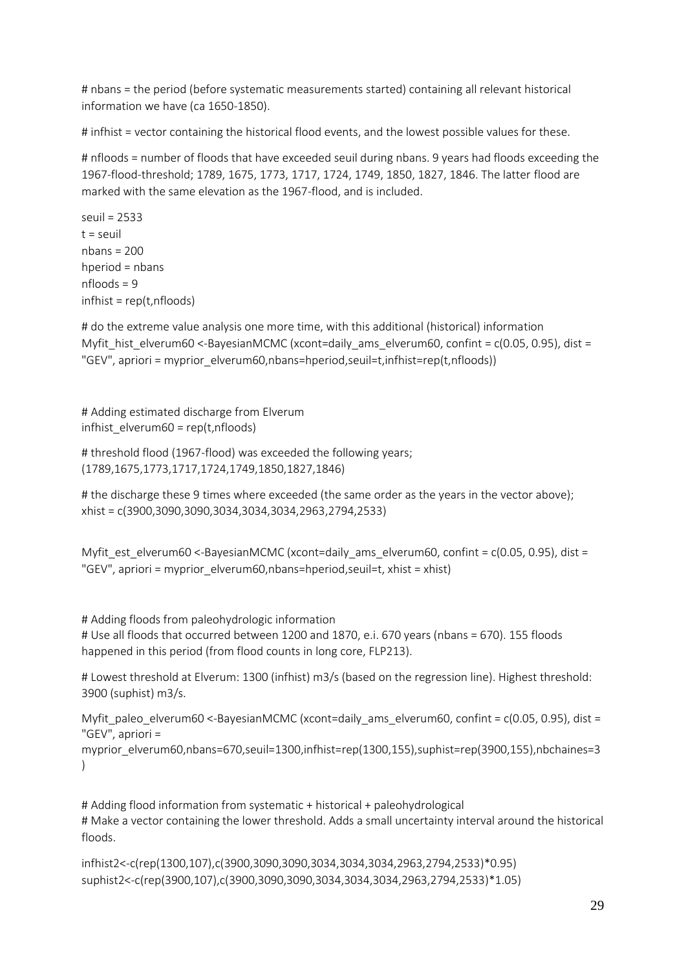# nbans = the period (before systematic measurements started) containing all relevant historical information we have (ca 1650-1850).

# infhist = vector containing the historical flood events, and the lowest possible values for these.

# nfloods = number of floods that have exceeded seuil during nbans. 9 years had floods exceeding the 1967-flood-threshold; 1789, 1675, 1773, 1717, 1724, 1749, 1850, 1827, 1846. The latter flood are marked with the same elevation as the 1967-flood, and is included.

seuil = 2533  $t =$  seuil nbans = 200 hperiod = nbans nfloods = 9 infhist = rep(t,nfloods)

# do the extreme value analysis one more time, with this additional (historical) information Myfit\_hist\_elverum60 <-BayesianMCMC (xcont=daily\_ams\_elverum60, confint = c(0.05, 0.95), dist = "GEV", apriori = myprior\_elverum60,nbans=hperiod,seuil=t,infhist=rep(t,nfloods))

# Adding estimated discharge from Elverum infhist\_elverum60 = rep(t,nfloods)

# threshold flood (1967-flood) was exceeded the following years; (1789,1675,1773,1717,1724,1749,1850,1827,1846)

# the discharge these 9 times where exceeded (the same order as the years in the vector above); xhist = c(3900,3090,3090,3034,3034,3034,2963,2794,2533)

Myfit\_est\_elverum60 <-BayesianMCMC (xcont=daily\_ams\_elverum60, confint = c(0.05, 0.95), dist = "GEV", apriori = myprior\_elverum60,nbans=hperiod,seuil=t, xhist = xhist)

# Adding floods from paleohydrologic information # Use all floods that occurred between 1200 and 1870, e.i. 670 years (nbans = 670). 155 floods happened in this period (from flood counts in long core, FLP213).

# Lowest threshold at Elverum: 1300 (infhist) m3/s (based on the regression line). Highest threshold: 3900 (suphist) m3/s.

Myfit paleo elverum60 <-BayesianMCMC (xcont=daily ams elverum60, confint =  $c(0.05, 0.95)$ , dist = "GEV", apriori =

myprior\_elverum60,nbans=670,seuil=1300,infhist=rep(1300,155),suphist=rep(3900,155),nbchaines=3  $\left( \right)$ 

# Adding flood information from systematic + historical + paleohydrological # Make a vector containing the lower threshold. Adds a small uncertainty interval around the historical floods.

```
infhist2<-c(rep(1300,107),c(3900,3090,3090,3034,3034,3034,2963,2794,2533)*0.95)
suphist2<-c(rep(3900,107),c(3900,3090,3090,3034,3034,3034,2963,2794,2533)*1.05)
```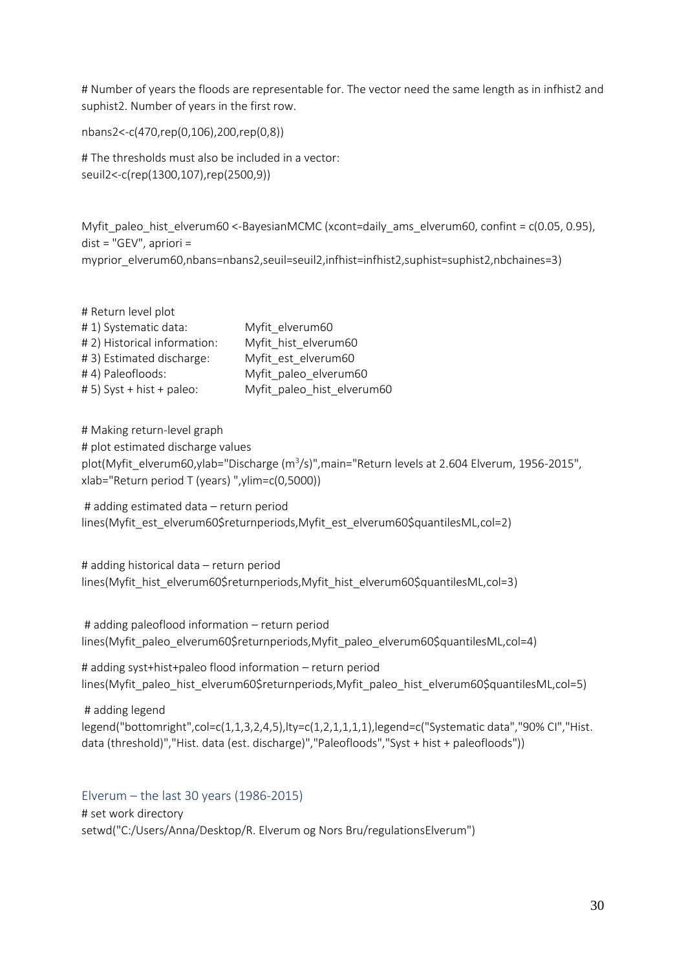# Number of years the floods are representable for. The vector need the same length as in infhist2 and suphist2. Number of years in the first row.

nbans2<-c(470,rep(0,106),200,rep(0,8))

# The thresholds must also be included in a vector: seuil2<-c(rep(1300,107),rep(2500,9))

Myfit paleo hist elverum60 <-BayesianMCMC (xcont=daily ams elverum60, confint =  $c(0.05, 0.95)$ , dist = "GEV", apriori = myprior\_elverum60,nbans=nbans2,seuil=seuil2,infhist=infhist2,suphist=suphist2,nbchaines=3)

| # Return level plot          |                            |
|------------------------------|----------------------------|
| #1) Systematic data:         | Myfit elverum60            |
| # 2) Historical information: | Myfit hist elverum60       |
| #3) Estimated discharge:     | Myfit est elverum60        |
| #4) Paleofloods:             | Myfit paleo elverum60      |
| # 5) Syst + hist + paleo:    | Myfit_paleo_hist_elverum60 |

# Making return-level graph # plot estimated discharge values plot(Myfit\_elverum60,ylab="Discharge (m<sup>3</sup>/s)",main="Return levels at 2.604 Elverum, 1956-2015", xlab="Return period T (years) ",ylim=c(0,5000))

# adding estimated data – return period lines(Myfit\_est\_elverum60\$returnperiods,Myfit\_est\_elverum60\$quantilesML,col=2)

# adding historical data – return period lines(Myfit\_hist\_elverum60\$returnperiods,Myfit\_hist\_elverum60\$quantilesML,col=3)

# adding paleoflood information – return period lines(Myfit\_paleo\_elverum60\$returnperiods,Myfit\_paleo\_elverum60\$quantilesML,col=4)

# adding syst+hist+paleo flood information – return period lines(Myfit\_paleo\_hist\_elverum60\$returnperiods,Myfit\_paleo\_hist\_elverum60\$quantilesML,col=5)

# adding legend legend("bottomright",col=c(1,1,3,2,4,5),lty=c(1,2,1,1,1,1),legend=c("Systematic data","90% CI","Hist. data (threshold)","Hist. data (est. discharge)","Paleofloods","Syst + hist + paleofloods"))

Elverum – the last 30 years (1986-2015) # set work directory setwd("C:/Users/Anna/Desktop/R. Elverum og Nors Bru/regulationsElverum")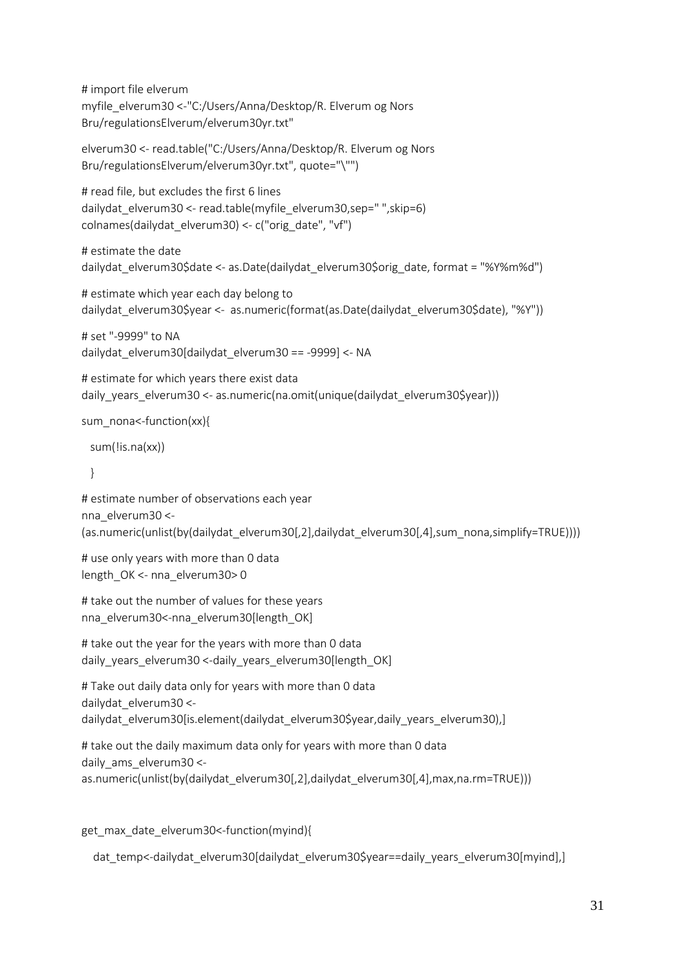# import file elverum myfile\_elverum30 <-"C:/Users/Anna/Desktop/R. Elverum og Nors Bru/regulationsElverum/elverum30yr.txt"

elverum30 <- read.table("C:/Users/Anna/Desktop/R. Elverum og Nors Bru/regulationsElverum/elverum30yr.txt", quote="\"")

# read file, but excludes the first 6 lines dailydat\_elverum30 <- read.table(myfile\_elverum30,sep=" ",skip=6) colnames(dailydat\_elverum30) <- c("orig\_date", "vf")

# estimate the date dailydat\_elverum30\$date <- as.Date(dailydat\_elverum30\$orig\_date, format = "%Y%m%d")

# estimate which year each day belong to dailydat elverum30\$year <- as.numeric(format(as.Date(dailydat elverum30\$date), "%Y"))

```
# set "-9999" to NA
dailydat_elverum30[dailydat_elverum30 == -9999] <- NA
```

```
# estimate for which years there exist data
daily years elverum30 <- as.numeric(na.omit(unique(dailydat elverum30$year)))
```
sum\_nona<-function(xx){

```
 sum(!is.na(xx))
```
}

```
# estimate number of observations each year
nna_elverum30 <-
(as.numeric(unlist(by(dailydat_elverum30[,2],dailydat_elverum30[,4],sum_nona,simplify=TRUE))))
```

```
# use only years with more than 0 data
length_OK <- nna_elverum30> 0
```

```
# take out the number of values for these years
nna_elverum30<-nna_elverum30[length_OK]
```

```
# take out the year for the years with more than 0 data
daily_years_elverum30 <-daily_years_elverum30[length_OK]
```
# Take out daily data only for years with more than 0 data dailydat\_elverum30 < dailydat\_elverum30[is.element(dailydat\_elverum30\$year,daily\_years\_elverum30),]

```
# take out the daily maximum data only for years with more than 0 data
daily ams elverum30 <-
as.numeric(unlist(by(dailydat_elverum30[,2],dailydat_elverum30[,4],max,na.rm=TRUE)))
```
get max date elverum30<-function(myind){

```
 dat_temp<-dailydat_elverum30[dailydat_elverum30$year==daily_years_elverum30[myind],]
```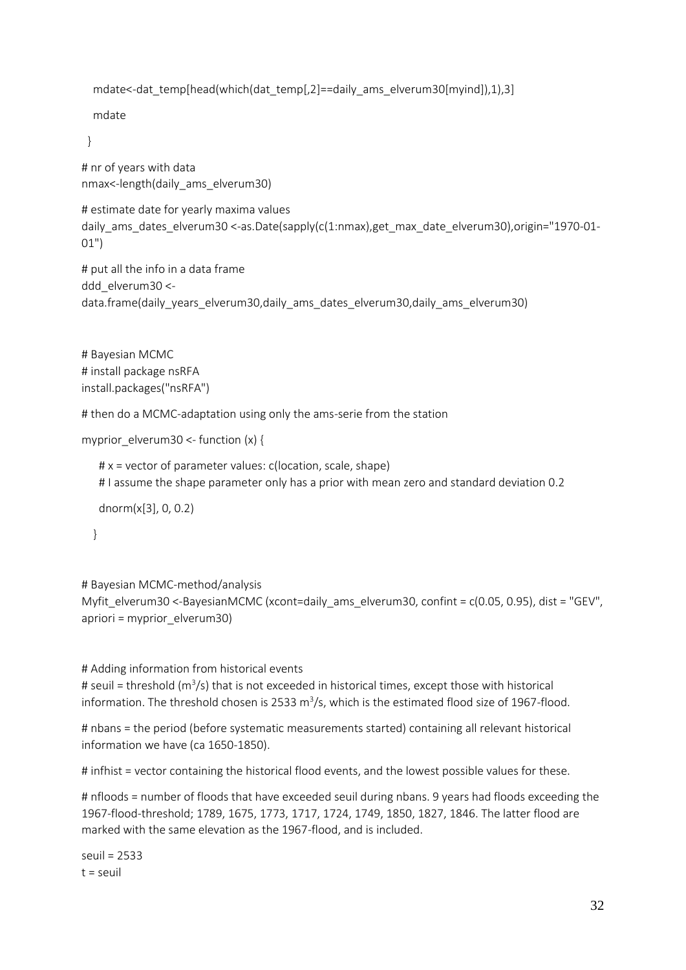```
mdate<-dat_temp[head(which(dat_temp[,2]==daily_ams_elverum30[myind]),1),3]
```
mdate

}

# nr of years with data nmax<-length(daily\_ams\_elverum30)

```
# estimate date for yearly maxima values
daily ams dates elverum30 <-as.Date(sapply(c(1:nmax),get max date elverum30),origin="1970-01-
01")
```
# put all the info in a data frame ddd elverum30 <data.frame(daily\_years\_elverum30,daily\_ams\_dates\_elverum30,daily\_ams\_elverum30)

```
# Bayesian MCMC 
# install package nsRFA
install.packages("nsRFA")
```
# then do a MCMC-adaptation using only the ams-serie from the station

```
myprior_elverum30 <- function (x) {
```

```
 # x = vector of parameter values: c(location, scale, shape)
 # I assume the shape parameter only has a prior with mean zero and standard deviation 0.2
 dnorm(x[3], 0, 0.2)
```
}

```
# Bayesian MCMC-method/analysis
```

```
Myfit_elverum30 <-BayesianMCMC (xcont=daily_ams_elverum30, confint = c(0.05, 0.95), dist = "GEV",
apriori = myprior_elverum30)
```
# Adding information from historical events # seuil = threshold (m<sup>3</sup>/s) that is not exceeded in historical times, except those with historical information. The threshold chosen is 2533 m<sup>3</sup>/s, which is the estimated flood size of 1967-flood.

# nbans = the period (before systematic measurements started) containing all relevant historical information we have (ca 1650-1850).

# infhist = vector containing the historical flood events, and the lowest possible values for these.

# nfloods = number of floods that have exceeded seuil during nbans. 9 years had floods exceeding the 1967-flood-threshold; 1789, 1675, 1773, 1717, 1724, 1749, 1850, 1827, 1846. The latter flood are marked with the same elevation as the 1967-flood, and is included.

```
seuil = 2533
t = seuil
```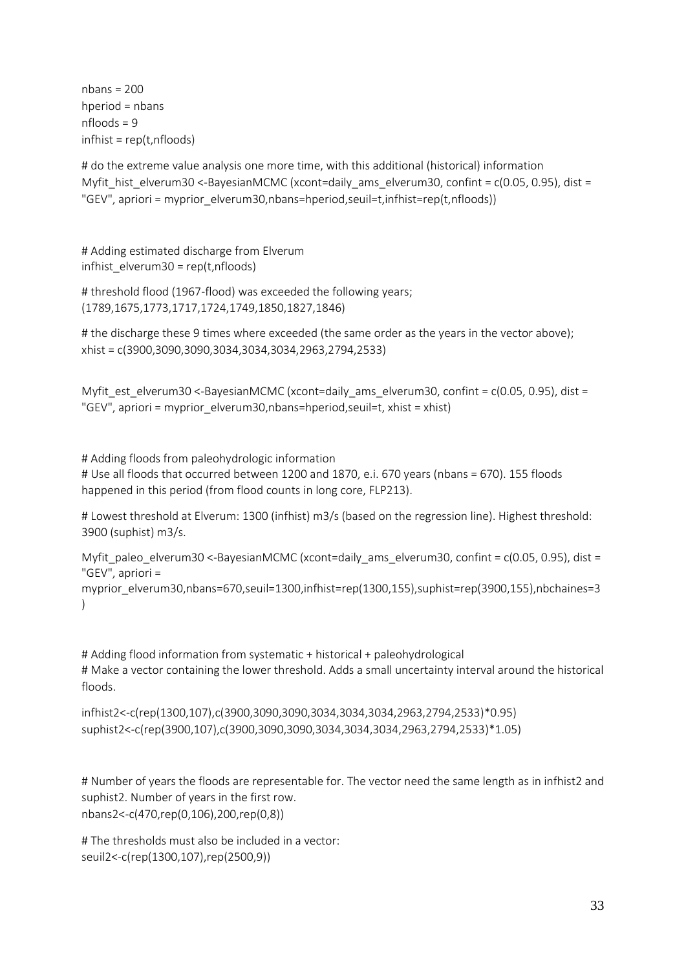$n_{\text{hans}} = 200$ hperiod = nbans nfloods = 9 infhist = rep(t,nfloods)

# do the extreme value analysis one more time, with this additional (historical) information Myfit\_hist\_elverum30 <-BayesianMCMC (xcont=daily\_ams\_elverum30, confint = c(0.05, 0.95), dist = "GEV", apriori = myprior\_elverum30,nbans=hperiod,seuil=t,infhist=rep(t,nfloods))

# Adding estimated discharge from Elverum infhist  $e|verum30 = rep(t,nf|oods)$ 

```
# threshold flood (1967-flood) was exceeded the following years;
(1789,1675,1773,1717,1724,1749,1850,1827,1846)
```
# the discharge these 9 times where exceeded (the same order as the years in the vector above); xhist = c(3900,3090,3090,3034,3034,3034,2963,2794,2533)

Myfit est elverum30 <-BayesianMCMC (xcont=daily ams elverum30, confint =  $c(0.05, 0.95)$ , dist = "GEV", apriori = myprior\_elverum30,nbans=hperiod,seuil=t, xhist = xhist)

# Adding floods from paleohydrologic information # Use all floods that occurred between 1200 and 1870, e.i. 670 years (nbans = 670). 155 floods happened in this period (from flood counts in long core, FLP213).

# Lowest threshold at Elverum: 1300 (infhist) m3/s (based on the regression line). Highest threshold: 3900 (suphist) m3/s.

Myfit paleo elverum30 <-BayesianMCMC (xcont=daily ams elverum30, confint = c(0.05, 0.95), dist = "GEV", apriori =

myprior\_elverum30,nbans=670,seuil=1300,infhist=rep(1300,155),suphist=rep(3900,155),nbchaines=3 )

# Adding flood information from systematic + historical + paleohydrological # Make a vector containing the lower threshold. Adds a small uncertainty interval around the historical floods.

infhist2<-c(rep(1300,107),c(3900,3090,3090,3034,3034,3034,2963,2794,2533)\*0.95) suphist2<-c(rep(3900,107),c(3900,3090,3090,3034,3034,3034,2963,2794,2533)\*1.05)

# Number of years the floods are representable for. The vector need the same length as in infhist2 and suphist2. Number of years in the first row. nbans2<-c(470,rep(0,106),200,rep(0,8))

# The thresholds must also be included in a vector: seuil2<-c(rep(1300,107),rep(2500,9))